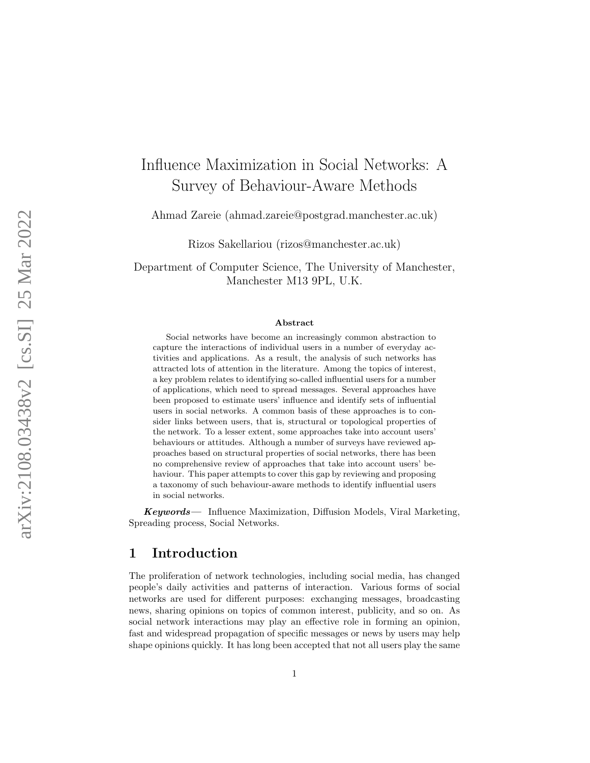# Influence Maximization in Social Networks: A Survey of Behaviour-Aware Methods

Ahmad Zareie (ahmad.zareie@postgrad.manchester.ac.uk)

Rizos Sakellariou (rizos@manchester.ac.uk)

Department of Computer Science, The University of Manchester, Manchester M13 9PL, U.K.

#### Abstract

Social networks have become an increasingly common abstraction to capture the interactions of individual users in a number of everyday activities and applications. As a result, the analysis of such networks has attracted lots of attention in the literature. Among the topics of interest, a key problem relates to identifying so-called influential users for a number of applications, which need to spread messages. Several approaches have been proposed to estimate users' influence and identify sets of influential users in social networks. A common basis of these approaches is to consider links between users, that is, structural or topological properties of the network. To a lesser extent, some approaches take into account users' behaviours or attitudes. Although a number of surveys have reviewed approaches based on structural properties of social networks, there has been no comprehensive review of approaches that take into account users' behaviour. This paper attempts to cover this gap by reviewing and proposing a taxonomy of such behaviour-aware methods to identify influential users in social networks.

Keywords— Influence Maximization, Diffusion Models, Viral Marketing, Spreading process, Social Networks.

# <span id="page-0-0"></span>1 Introduction

The proliferation of network technologies, including social media, has changed people's daily activities and patterns of interaction. Various forms of social networks are used for different purposes: exchanging messages, broadcasting news, sharing opinions on topics of common interest, publicity, and so on. As social network interactions may play an effective role in forming an opinion, fast and widespread propagation of specific messages or news by users may help shape opinions quickly. It has long been accepted that not all users play the same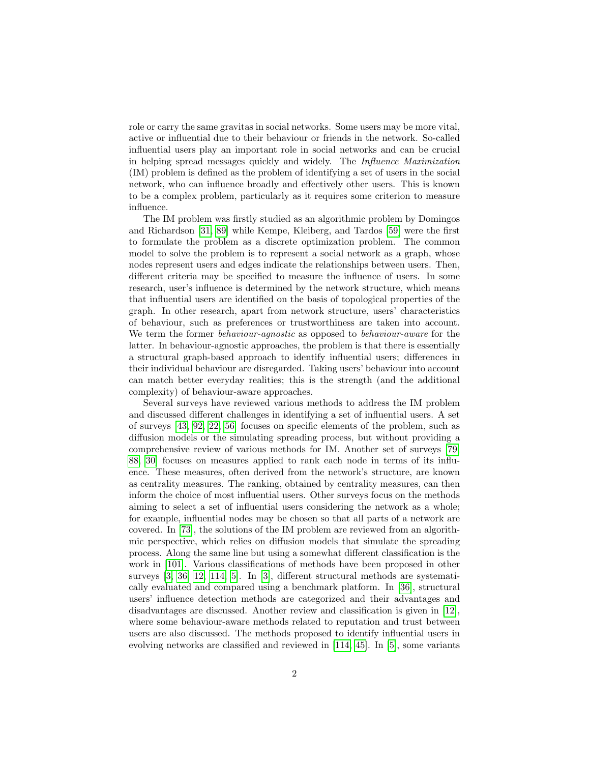role or carry the same gravitas in social networks. Some users may be more vital, active or influential due to their behaviour or friends in the network. So-called influential users play an important role in social networks and can be crucial in helping spread messages quickly and widely. The Influence Maximization (IM) problem is defined as the problem of identifying a set of users in the social network, who can influence broadly and effectively other users. This is known to be a complex problem, particularly as it requires some criterion to measure influence.

The IM problem was firstly studied as an algorithmic problem by Domingos and Richardson [\[31,](#page-29-0) [89\]](#page-34-0) while Kempe, Kleiberg, and Tardos [\[59\]](#page-32-0) were the first to formulate the problem as a discrete optimization problem. The common model to solve the problem is to represent a social network as a graph, whose nodes represent users and edges indicate the relationships between users. Then, different criteria may be specified to measure the influence of users. In some research, user's influence is determined by the network structure, which means that influential users are identified on the basis of topological properties of the graph. In other research, apart from network structure, users' characteristics of behaviour, such as preferences or trustworthiness are taken into account. We term the former behaviour-agnostic as opposed to behaviour-aware for the latter. In behaviour-agnostic approaches, the problem is that there is essentially a structural graph-based approach to identify influential users; differences in their individual behaviour are disregarded. Taking users' behaviour into account can match better everyday realities; this is the strength (and the additional complexity) of behaviour-aware approaches.

Several surveys have reviewed various methods to address the IM problem and discussed different challenges in identifying a set of influential users. A set of surveys [\[43,](#page-30-0) [92,](#page-34-1) [22,](#page-29-1) [56\]](#page-31-0) focuses on specific elements of the problem, such as diffusion models or the simulating spreading process, but without providing a comprehensive review of various methods for IM. Another set of surveys [\[79,](#page-33-0) [88,](#page-34-2) [30\]](#page-29-2) focuses on measures applied to rank each node in terms of its influence. These measures, often derived from the network's structure, are known as centrality measures. The ranking, obtained by centrality measures, can then inform the choice of most influential users. Other surveys focus on the methods aiming to select a set of influential users considering the network as a whole; for example, influential nodes may be chosen so that all parts of a network are covered. In [\[73\]](#page-33-1), the solutions of the IM problem are reviewed from an algorithmic perspective, which relies on diffusion models that simulate the spreading process. Along the same line but using a somewhat different classification is the work in [\[101\]](#page-35-0). Various classifications of methods have been proposed in other surveys [\[3,](#page-27-0) [36,](#page-30-1) [12,](#page-28-0) [114,](#page-36-0) [5\]](#page-27-1). In [\[3\]](#page-27-0), different structural methods are systematically evaluated and compared using a benchmark platform. In [\[36\]](#page-30-1), structural users' influence detection methods are categorized and their advantages and disadvantages are discussed. Another review and classification is given in [\[12\]](#page-28-0), where some behaviour-aware methods related to reputation and trust between users are also discussed. The methods proposed to identify influential users in evolving networks are classified and reviewed in [\[114,](#page-36-0) [45\]](#page-30-2). In [\[5\]](#page-27-1), some variants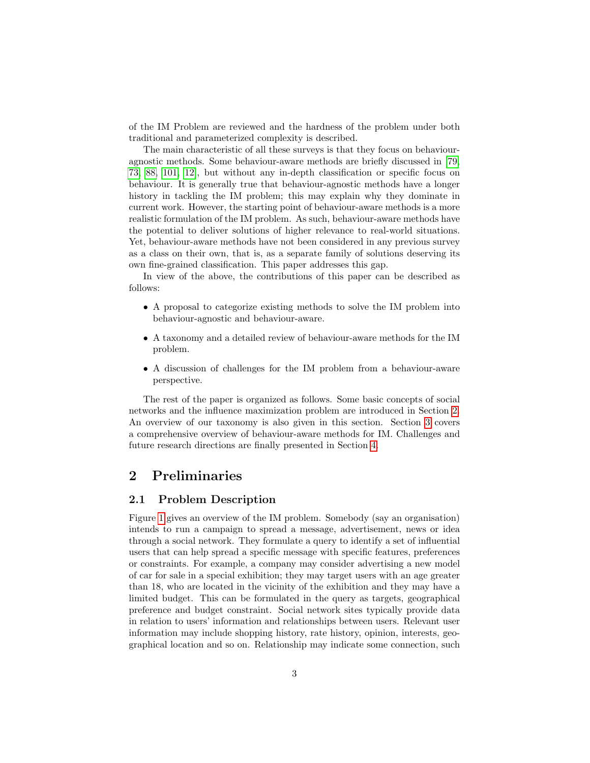of the IM Problem are reviewed and the hardness of the problem under both traditional and parameterized complexity is described.

The main characteristic of all these surveys is that they focus on behaviouragnostic methods. Some behaviour-aware methods are briefly discussed in [\[79,](#page-33-0) [73,](#page-33-1) [88,](#page-34-2) [101,](#page-35-0) [12\]](#page-28-0), but without any in-depth classification or specific focus on behaviour. It is generally true that behaviour-agnostic methods have a longer history in tackling the IM problem; this may explain why they dominate in current work. However, the starting point of behaviour-aware methods is a more realistic formulation of the IM problem. As such, behaviour-aware methods have the potential to deliver solutions of higher relevance to real-world situations. Yet, behaviour-aware methods have not been considered in any previous survey as a class on their own, that is, as a separate family of solutions deserving its own fine-grained classification. This paper addresses this gap.

In view of the above, the contributions of this paper can be described as follows:

- A proposal to categorize existing methods to solve the IM problem into behaviour-agnostic and behaviour-aware.
- A taxonomy and a detailed review of behaviour-aware methods for the IM problem.
- A discussion of challenges for the IM problem from a behaviour-aware perspective.

The rest of the paper is organized as follows. Some basic concepts of social networks and the influence maximization problem are introduced in Section [2.](#page-2-0) An overview of our taxonomy is also given in this section. Section [3](#page-6-0) covers a comprehensive overview of behaviour-aware methods for IM. Challenges and future research directions are finally presented in Section [4.](#page-25-0)

# <span id="page-2-0"></span>2 Preliminaries

# <span id="page-2-1"></span>2.1 Problem Description

Figure [1](#page-3-0) gives an overview of the IM problem. Somebody (say an organisation) intends to run a campaign to spread a message, advertisement, news or idea through a social network. They formulate a query to identify a set of influential users that can help spread a specific message with specific features, preferences or constraints. For example, a company may consider advertising a new model of car for sale in a special exhibition; they may target users with an age greater than 18, who are located in the vicinity of the exhibition and they may have a limited budget. This can be formulated in the query as targets, geographical preference and budget constraint. Social network sites typically provide data in relation to users' information and relationships between users. Relevant user information may include shopping history, rate history, opinion, interests, geographical location and so on. Relationship may indicate some connection, such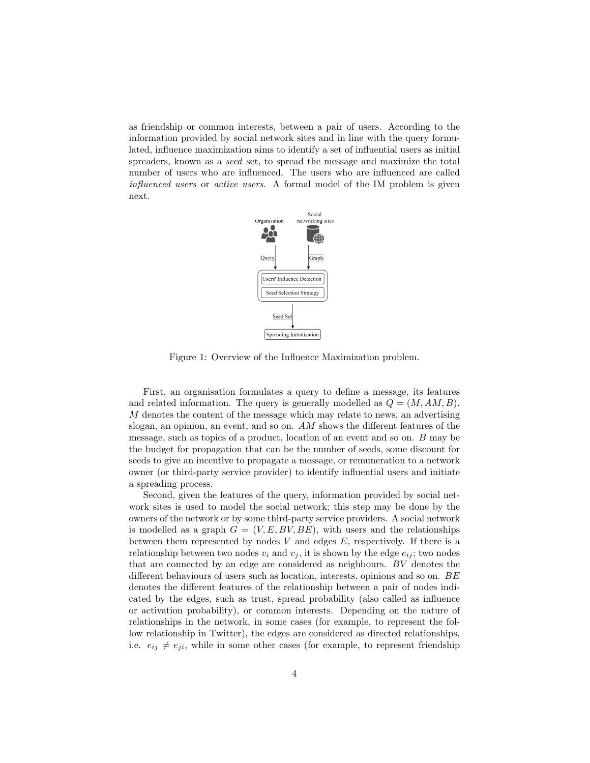as friendship or common interests, between a pair of users. According to the information provided by social network sites and in line with the query formulated, influence maximization aims to identify a set of influential users as initial spreaders, known as a seed set, to spread the message and maximize the total number of users who are influenced. The users who are influenced are called influenced users or active users. A formal model of the IM problem is given next.



<span id="page-3-0"></span>Figure 1: Overview of the Influence Maximization problem.

First, an organisation formulates a query to define a message, its features and related information. The query is generally modelled as  $Q = (M, AM, B)$ . M denotes the content of the message which may relate to news, an advertising slogan, an opinion, an event, and so on. AM shows the different features of the message, such as topics of a product, location of an event and so on. B may be the budget for propagation that can be the number of seeds, some discount for seeds to give an incentive to propagate a message, or remuneration to a network owner (or third-party service provider) to identify influential users and initiate a spreading process.

Second, given the features of the query, information provided by social network sites is used to model the social network; this step may be done by the owners of the network or by some third-party service providers. A social network is modelled as a graph  $G = (V, E, BV, BE)$ , with users and the relationships between them represented by nodes  $V$  and edges  $E$ , respectively. If there is a relationship between two nodes  $v_i$  and  $v_j$ , it is shown by the edge  $e_{ij}$ ; two nodes that are connected by an edge are considered as neighbours. BV denotes the different behaviours of users such as location, interests, opinions and so on. BE denotes the different features of the relationship between a pair of nodes indicated by the edges, such as trust, spread probability (also called as influence or activation probability), or common interests. Depending on the nature of relationships in the network, in some cases (for example, to represent the follow relationship in Twitter), the edges are considered as directed relationships, i.e.  $e_{ij} \neq e_{ji}$ , while in some other cases (for example, to represent friendship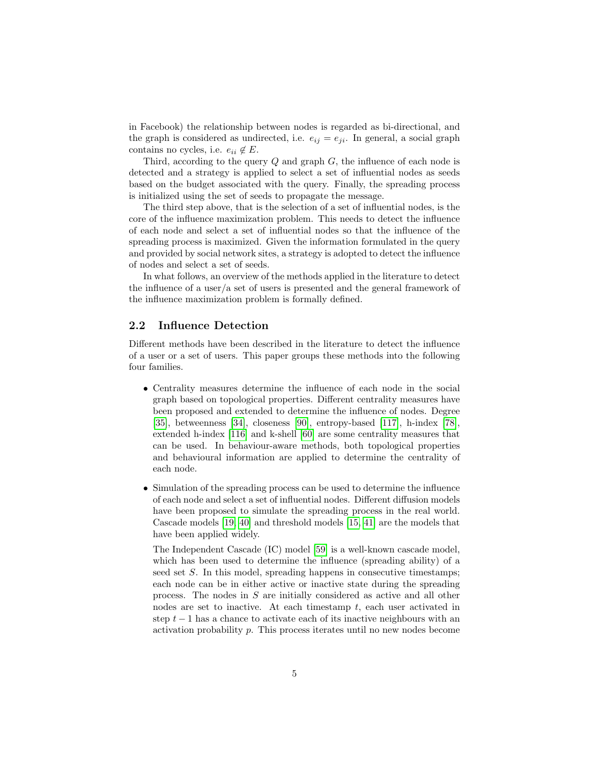in Facebook) the relationship between nodes is regarded as bi-directional, and the graph is considered as undirected, i.e.  $e_{ij} = e_{ji}$ . In general, a social graph contains no cycles, i.e.  $e_{ii} \notin E$ .

Third, according to the query  $Q$  and graph  $G$ , the influence of each node is detected and a strategy is applied to select a set of influential nodes as seeds based on the budget associated with the query. Finally, the spreading process is initialized using the set of seeds to propagate the message.

The third step above, that is the selection of a set of influential nodes, is the core of the influence maximization problem. This needs to detect the influence of each node and select a set of influential nodes so that the influence of the spreading process is maximized. Given the information formulated in the query and provided by social network sites, a strategy is adopted to detect the influence of nodes and select a set of seeds.

In what follows, an overview of the methods applied in the literature to detect the influence of a user/a set of users is presented and the general framework of the influence maximization problem is formally defined.

### 2.2 Influence Detection

Different methods have been described in the literature to detect the influence of a user or a set of users. This paper groups these methods into the following four families.

- Centrality measures determine the influence of each node in the social graph based on topological properties. Different centrality measures have been proposed and extended to determine the influence of nodes. Degree [\[35\]](#page-30-3), betweenness [\[34\]](#page-30-4), closeness [\[90\]](#page-34-3), entropy-based [\[117\]](#page-36-1), h-index [\[78\]](#page-33-2), extended h-index [\[116\]](#page-36-2) and k-shell [\[60\]](#page-32-1) are some centrality measures that can be used. In behaviour-aware methods, both topological properties and behavioural information are applied to determine the centrality of each node.
- Simulation of the spreading process can be used to determine the influence of each node and select a set of influential nodes. Different diffusion models have been proposed to simulate the spreading process in the real world. Cascade models [\[19,](#page-28-1) [40\]](#page-30-5) and threshold models [\[15,](#page-28-2) [41\]](#page-30-6) are the models that have been applied widely.

The Independent Cascade (IC) model [\[59\]](#page-32-0) is a well-known cascade model, which has been used to determine the influence (spreading ability) of a seed set S. In this model, spreading happens in consecutive timestamps; each node can be in either active or inactive state during the spreading process. The nodes in S are initially considered as active and all other nodes are set to inactive. At each timestamp  $t$ , each user activated in step  $t - 1$  has a chance to activate each of its inactive neighbours with an activation probability p. This process iterates until no new nodes become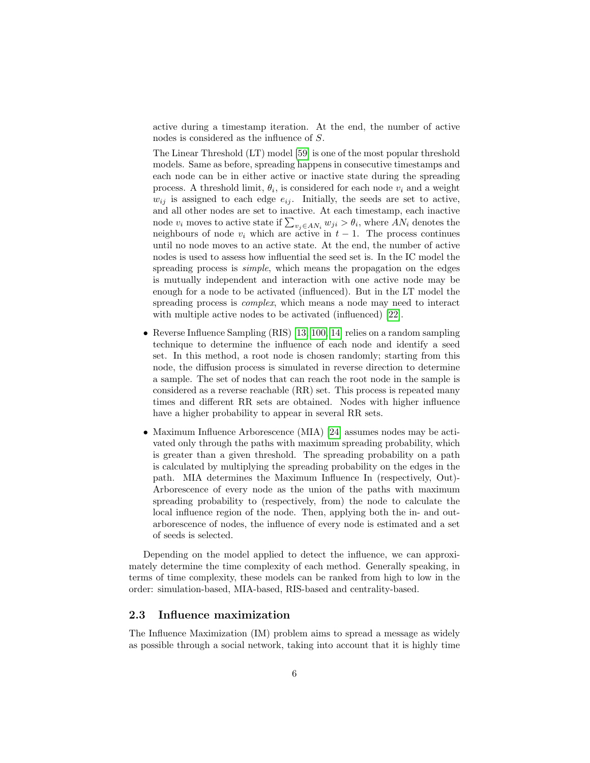active during a timestamp iteration. At the end, the number of active nodes is considered as the influence of S.

The Linear Threshold (LT) model [\[59\]](#page-32-0) is one of the most popular threshold models. Same as before, spreading happens in consecutive timestamps and each node can be in either active or inactive state during the spreading process. A threshold limit,  $\theta_i$ , is considered for each node  $v_i$  and a weight  $w_{ij}$  is assigned to each edge  $e_{ij}$ . Initially, the seeds are set to active, and all other nodes are set to inactive. At each timestamp, each inactive node  $v_i$  moves to active state if  $\sum_{v_j \in AN_i} w_{ji} > \theta_i$ , where  $AN_i$  denotes the neighbours of node  $v_i$  which are active in  $t-1$ . The process continues until no node moves to an active state. At the end, the number of active nodes is used to assess how influential the seed set is. In the IC model the spreading process is *simple*, which means the propagation on the edges is mutually independent and interaction with one active node may be enough for a node to be activated (influenced). But in the LT model the spreading process is *complex*, which means a node may need to interact with multiple active nodes to be activated (influenced) [\[22\]](#page-29-1).

- Reverse Influence Sampling (RIS) [\[13,](#page-28-3) [100,](#page-35-1) [14\]](#page-28-4) relies on a random sampling technique to determine the influence of each node and identify a seed set. In this method, a root node is chosen randomly; starting from this node, the diffusion process is simulated in reverse direction to determine a sample. The set of nodes that can reach the root node in the sample is considered as a reverse reachable (RR) set. This process is repeated many times and different RR sets are obtained. Nodes with higher influence have a higher probability to appear in several RR sets.
- Maximum Influence Arborescence (MIA) [\[24\]](#page-29-3) assumes nodes may be activated only through the paths with maximum spreading probability, which is greater than a given threshold. The spreading probability on a path is calculated by multiplying the spreading probability on the edges in the path. MIA determines the Maximum Influence In (respectively, Out)- Arborescence of every node as the union of the paths with maximum spreading probability to (respectively, from) the node to calculate the local influence region of the node. Then, applying both the in- and outarborescence of nodes, the influence of every node is estimated and a set of seeds is selected.

Depending on the model applied to detect the influence, we can approximately determine the time complexity of each method. Generally speaking, in terms of time complexity, these models can be ranked from high to low in the order: simulation-based, MIA-based, RIS-based and centrality-based.

# 2.3 Influence maximization

The Influence Maximization (IM) problem aims to spread a message as widely as possible through a social network, taking into account that it is highly time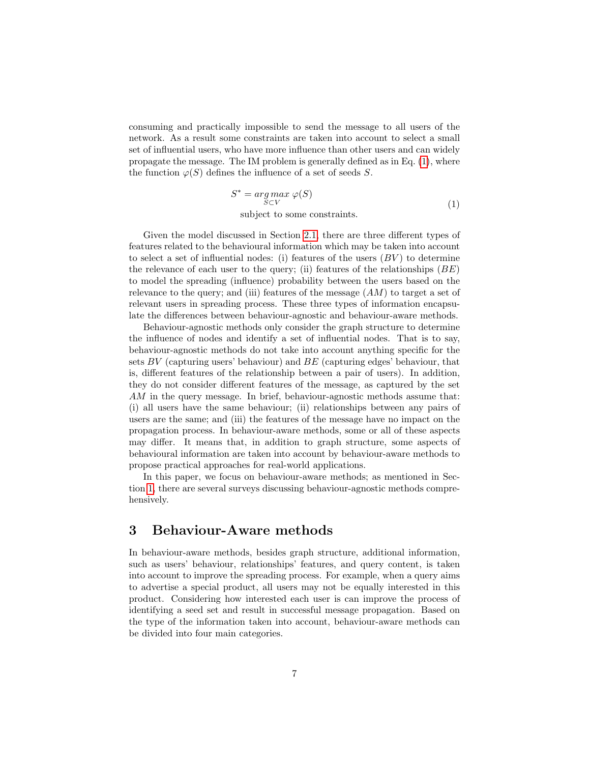consuming and practically impossible to send the message to all users of the network. As a result some constraints are taken into account to select a small set of influential users, who have more influence than other users and can widely propagate the message. The IM problem is generally defined as in Eq. [\(1\)](#page-6-1), where the function  $\varphi(S)$  defines the influence of a set of seeds S.

<span id="page-6-1"></span>
$$
S^* = \underset{S \subset V}{\arg \max} \varphi(S)
$$
  
subject to some constraints. (1)

Given the model discussed in Section [2.1,](#page-2-1) there are three different types of features related to the behavioural information which may be taken into account to select a set of influential nodes: (i) features of the users  $(BV)$  to determine the relevance of each user to the query; (ii) features of the relationships  $(BE)$ to model the spreading (influence) probability between the users based on the relevance to the query; and (iii) features of the message  $(AM)$  to target a set of relevant users in spreading process. These three types of information encapsulate the differences between behaviour-agnostic and behaviour-aware methods.

Behaviour-agnostic methods only consider the graph structure to determine the influence of nodes and identify a set of influential nodes. That is to say, behaviour-agnostic methods do not take into account anything specific for the sets  $BV$  (capturing users' behaviour) and  $BE$  (capturing edges' behaviour, that is, different features of the relationship between a pair of users). In addition, they do not consider different features of the message, as captured by the set AM in the query message. In brief, behaviour-agnostic methods assume that: (i) all users have the same behaviour; (ii) relationships between any pairs of users are the same; and (iii) the features of the message have no impact on the propagation process. In behaviour-aware methods, some or all of these aspects may differ. It means that, in addition to graph structure, some aspects of behavioural information are taken into account by behaviour-aware methods to propose practical approaches for real-world applications.

In this paper, we focus on behaviour-aware methods; as mentioned in Section [1,](#page-0-0) there are several surveys discussing behaviour-agnostic methods comprehensively.

# <span id="page-6-0"></span>3 Behaviour-Aware methods

In behaviour-aware methods, besides graph structure, additional information, such as users' behaviour, relationships' features, and query content, is taken into account to improve the spreading process. For example, when a query aims to advertise a special product, all users may not be equally interested in this product. Considering how interested each user is can improve the process of identifying a seed set and result in successful message propagation. Based on the type of the information taken into account, behaviour-aware methods can be divided into four main categories.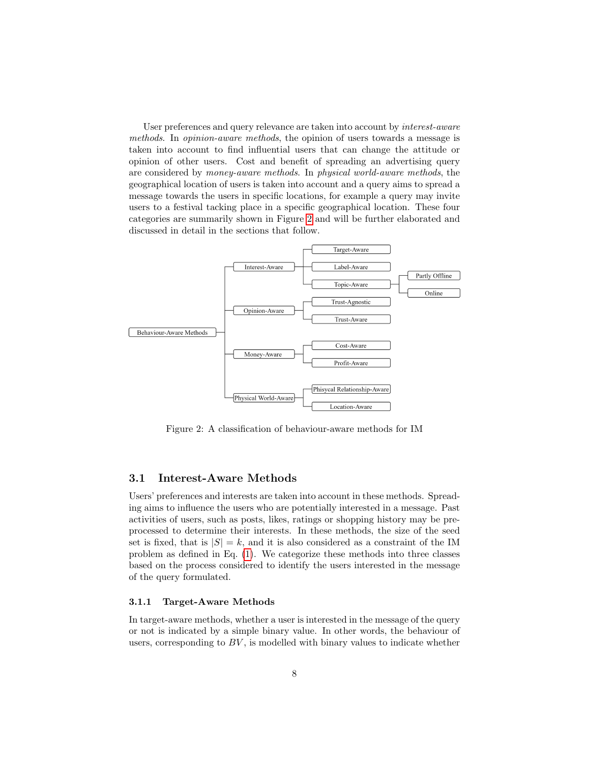User preferences and query relevance are taken into account by interest-aware methods. In opinion-aware methods, the opinion of users towards a message is taken into account to find influential users that can change the attitude or opinion of other users. Cost and benefit of spreading an advertising query are considered by money-aware methods. In physical world-aware methods, the geographical location of users is taken into account and a query aims to spread a message towards the users in specific locations, for example a query may invite users to a festival tacking place in a specific geographical location. These four categories are summarily shown in Figure [2](#page-7-0) and will be further elaborated and discussed in detail in the sections that follow.



<span id="page-7-0"></span>Figure 2: A classification of behaviour-aware methods for IM

### 3.1 Interest-Aware Methods

Users' preferences and interests are taken into account in these methods. Spreading aims to influence the users who are potentially interested in a message. Past activities of users, such as posts, likes, ratings or shopping history may be preprocessed to determine their interests. In these methods, the size of the seed set is fixed, that is  $|S| = k$ , and it is also considered as a constraint of the IM problem as defined in Eq. [\(1\)](#page-6-1). We categorize these methods into three classes based on the process considered to identify the users interested in the message of the query formulated.

#### 3.1.1 Target-Aware Methods

In target-aware methods, whether a user is interested in the message of the query or not is indicated by a simple binary value. In other words, the behaviour of users, corresponding to  $BV$ , is modelled with binary values to indicate whether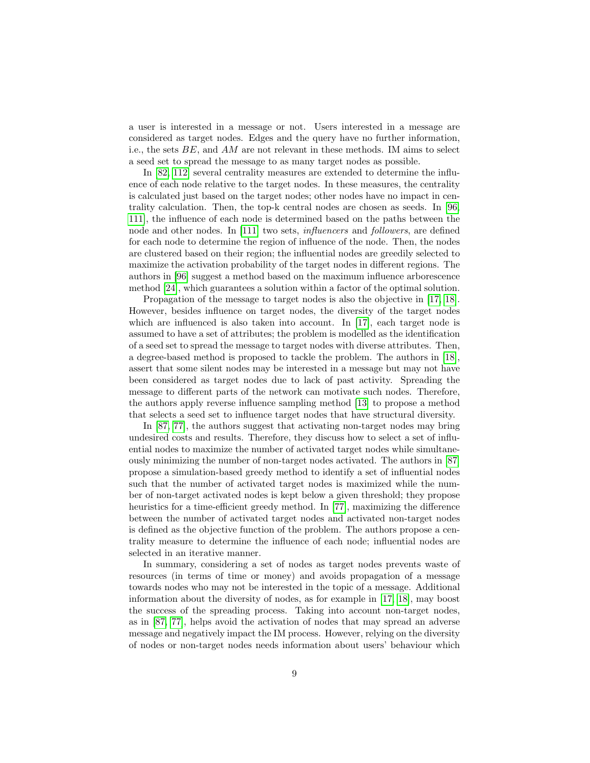a user is interested in a message or not. Users interested in a message are considered as target nodes. Edges and the query have no further information, i.e., the sets BE, and AM are not relevant in these methods. IM aims to select a seed set to spread the message to as many target nodes as possible.

In [\[82,](#page-33-3) [112\]](#page-36-3) several centrality measures are extended to determine the influence of each node relative to the target nodes. In these measures, the centrality is calculated just based on the target nodes; other nodes have no impact in centrality calculation. Then, the top-k central nodes are chosen as seeds. In [\[96,](#page-34-4) [111\]](#page-36-4), the influence of each node is determined based on the paths between the node and other nodes. In [\[111\]](#page-36-4) two sets, *influencers* and *followers*, are defined for each node to determine the region of influence of the node. Then, the nodes are clustered based on their region; the influential nodes are greedily selected to maximize the activation probability of the target nodes in different regions. The authors in [\[96\]](#page-34-4) suggest a method based on the maximum influence arborescence method [\[24\]](#page-29-3), which guarantees a solution within a factor of the optimal solution.

Propagation of the message to target nodes is also the objective in [\[17,](#page-28-5) [18\]](#page-28-6). However, besides influence on target nodes, the diversity of the target nodes which are influenced is also taken into account. In [\[17\]](#page-28-5), each target node is assumed to have a set of attributes; the problem is modelled as the identification of a seed set to spread the message to target nodes with diverse attributes. Then, a degree-based method is proposed to tackle the problem. The authors in [\[18\]](#page-28-6), assert that some silent nodes may be interested in a message but may not have been considered as target nodes due to lack of past activity. Spreading the message to different parts of the network can motivate such nodes. Therefore, the authors apply reverse influence sampling method [\[13\]](#page-28-3) to propose a method that selects a seed set to influence target nodes that have structural diversity.

In [\[87,](#page-34-5) [77\]](#page-33-4), the authors suggest that activating non-target nodes may bring undesired costs and results. Therefore, they discuss how to select a set of influential nodes to maximize the number of activated target nodes while simultaneously minimizing the number of non-target nodes activated. The authors in [\[87\]](#page-34-5) propose a simulation-based greedy method to identify a set of influential nodes such that the number of activated target nodes is maximized while the number of non-target activated nodes is kept below a given threshold; they propose heuristics for a time-efficient greedy method. In [\[77\]](#page-33-4), maximizing the difference between the number of activated target nodes and activated non-target nodes is defined as the objective function of the problem. The authors propose a centrality measure to determine the influence of each node; influential nodes are selected in an iterative manner.

In summary, considering a set of nodes as target nodes prevents waste of resources (in terms of time or money) and avoids propagation of a message towards nodes who may not be interested in the topic of a message. Additional information about the diversity of nodes, as for example in [\[17,](#page-28-5) [18\]](#page-28-6), may boost the success of the spreading process. Taking into account non-target nodes, as in [\[87,](#page-34-5) [77\]](#page-33-4), helps avoid the activation of nodes that may spread an adverse message and negatively impact the IM process. However, relying on the diversity of nodes or non-target nodes needs information about users' behaviour which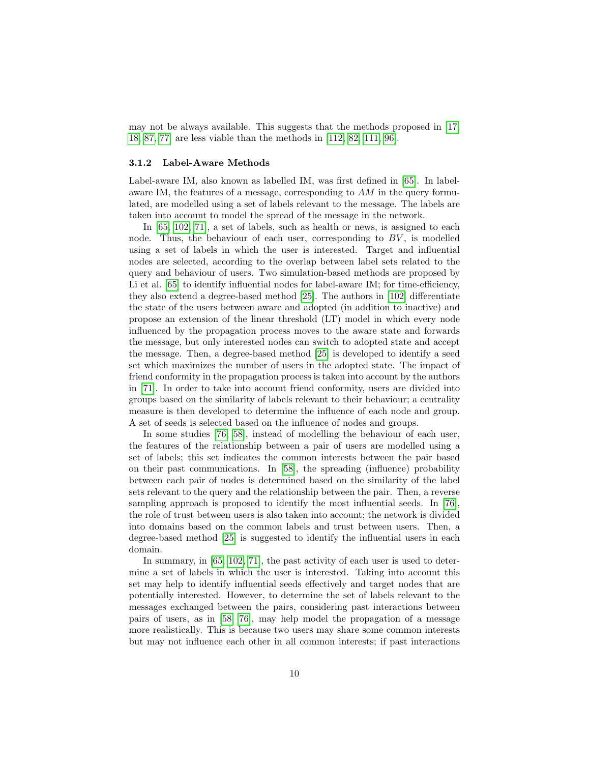may not be always available. This suggests that the methods proposed in [\[17,](#page-28-5) [18,](#page-28-6) [87,](#page-34-5) [77\]](#page-33-4) are less viable than the methods in [\[112,](#page-36-3) [82,](#page-33-3) [111,](#page-36-4) [96\]](#page-34-4).

#### 3.1.2 Label-Aware Methods

Label-aware IM, also known as labelled IM, was first defined in [\[65\]](#page-32-2). In labelaware IM, the features of a message, corresponding to  $AM$  in the query formulated, are modelled using a set of labels relevant to the message. The labels are taken into account to model the spread of the message in the network.

In [\[65,](#page-32-2) [102,](#page-35-2) [71\]](#page-33-5), a set of labels, such as health or news, is assigned to each node. Thus, the behaviour of each user, corresponding to  $BV$ , is modelled using a set of labels in which the user is interested. Target and influential nodes are selected, according to the overlap between label sets related to the query and behaviour of users. Two simulation-based methods are proposed by Li et al. [\[65\]](#page-32-2) to identify influential nodes for label-aware IM; for time-efficiency, they also extend a degree-based method [\[25\]](#page-29-4). The authors in [\[102\]](#page-35-2) differentiate the state of the users between aware and adopted (in addition to inactive) and propose an extension of the linear threshold (LT) model in which every node influenced by the propagation process moves to the aware state and forwards the message, but only interested nodes can switch to adopted state and accept the message. Then, a degree-based method [\[25\]](#page-29-4) is developed to identify a seed set which maximizes the number of users in the adopted state. The impact of friend conformity in the propagation process is taken into account by the authors in [\[71\]](#page-33-5). In order to take into account friend conformity, users are divided into groups based on the similarity of labels relevant to their behaviour; a centrality measure is then developed to determine the influence of each node and group. A set of seeds is selected based on the influence of nodes and groups.

In some studies [\[76,](#page-33-6) [58\]](#page-31-1), instead of modelling the behaviour of each user, the features of the relationship between a pair of users are modelled using a set of labels; this set indicates the common interests between the pair based on their past communications. In [\[58\]](#page-31-1), the spreading (influence) probability between each pair of nodes is determined based on the similarity of the label sets relevant to the query and the relationship between the pair. Then, a reverse sampling approach is proposed to identify the most influential seeds. In [\[76\]](#page-33-6), the role of trust between users is also taken into account; the network is divided into domains based on the common labels and trust between users. Then, a degree-based method [\[25\]](#page-29-4) is suggested to identify the influential users in each domain.

In summary, in [\[65,](#page-32-2) [102,](#page-35-2) [71\]](#page-33-5), the past activity of each user is used to determine a set of labels in which the user is interested. Taking into account this set may help to identify influential seeds effectively and target nodes that are potentially interested. However, to determine the set of labels relevant to the messages exchanged between the pairs, considering past interactions between pairs of users, as in [\[58,](#page-31-1) [76\]](#page-33-6), may help model the propagation of a message more realistically. This is because two users may share some common interests but may not influence each other in all common interests; if past interactions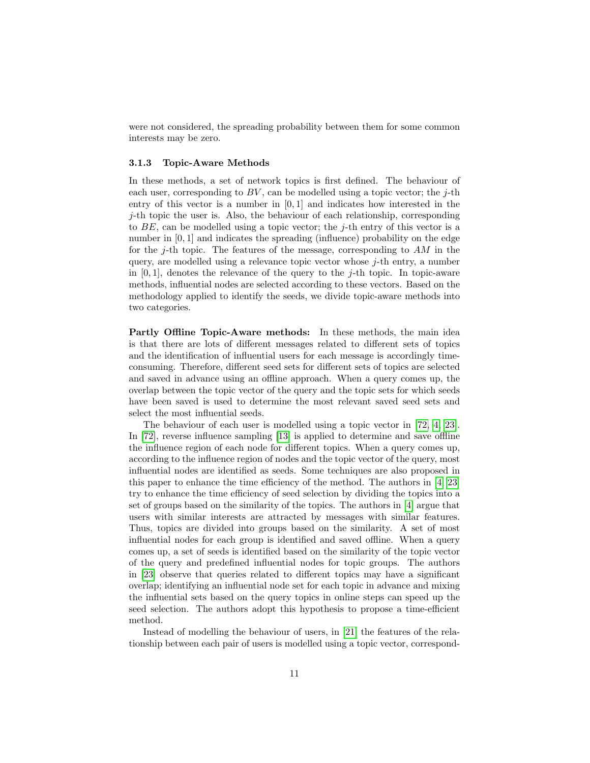were not considered, the spreading probability between them for some common interests may be zero.

#### 3.1.3 Topic-Aware Methods

In these methods, a set of network topics is first defined. The behaviour of each user, corresponding to  $BV$ , can be modelled using a topic vector; the j-th entry of this vector is a number in  $[0,1]$  and indicates how interested in the  $j$ -th topic the user is. Also, the behaviour of each relationship, corresponding to  $BE$ , can be modelled using a topic vector; the j-th entry of this vector is a number in [0, 1] and indicates the spreading (influence) probability on the edge for the j-th topic. The features of the message, corresponding to  $AM$  in the query, are modelled using a relevance topic vector whose j-th entry, a number in  $[0, 1]$ , denotes the relevance of the query to the *j*-th topic. In topic-aware methods, influential nodes are selected according to these vectors. Based on the methodology applied to identify the seeds, we divide topic-aware methods into two categories.

Partly Offline Topic-Aware methods: In these methods, the main idea is that there are lots of different messages related to different sets of topics and the identification of influential users for each message is accordingly timeconsuming. Therefore, different seed sets for different sets of topics are selected and saved in advance using an offline approach. When a query comes up, the overlap between the topic vector of the query and the topic sets for which seeds have been saved is used to determine the most relevant saved seed sets and select the most influential seeds.

The behaviour of each user is modelled using a topic vector in [\[72,](#page-33-7) [4,](#page-27-2) [23\]](#page-29-5). In [\[72\]](#page-33-7), reverse influence sampling [\[13\]](#page-28-3) is applied to determine and save offline the influence region of each node for different topics. When a query comes up, according to the influence region of nodes and the topic vector of the query, most influential nodes are identified as seeds. Some techniques are also proposed in this paper to enhance the time efficiency of the method. The authors in [\[4,](#page-27-2) [23\]](#page-29-5) try to enhance the time efficiency of seed selection by dividing the topics into a set of groups based on the similarity of the topics. The authors in [\[4\]](#page-27-2) argue that users with similar interests are attracted by messages with similar features. Thus, topics are divided into groups based on the similarity. A set of most influential nodes for each group is identified and saved offline. When a query comes up, a set of seeds is identified based on the similarity of the topic vector of the query and predefined influential nodes for topic groups. The authors in [\[23\]](#page-29-5) observe that queries related to different topics may have a significant overlap; identifying an influential node set for each topic in advance and mixing the influential sets based on the query topics in online steps can speed up the seed selection. The authors adopt this hypothesis to propose a time-efficient method.

Instead of modelling the behaviour of users, in [\[21\]](#page-28-7) the features of the relationship between each pair of users is modelled using a topic vector, correspond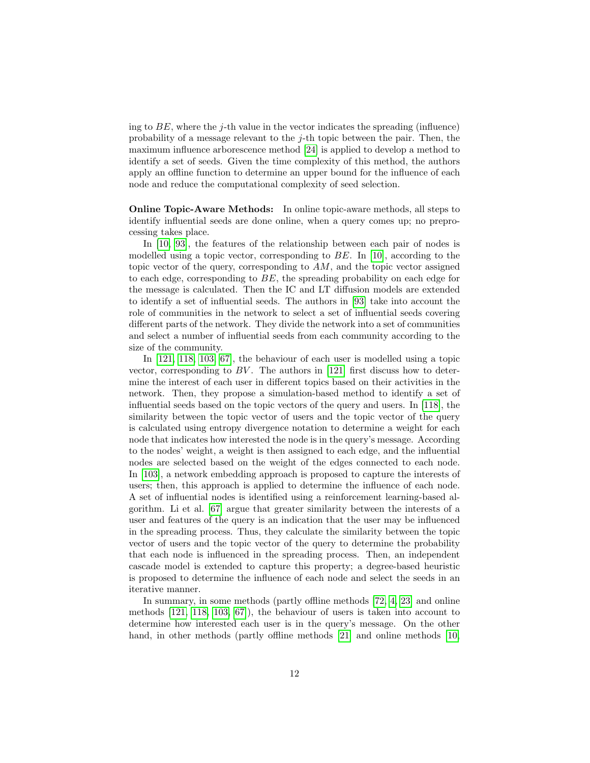ing to  $BE$ , where the j-th value in the vector indicates the spreading (influence) probability of a message relevant to the  $j$ -th topic between the pair. Then, the maximum influence arborescence method [\[24\]](#page-29-3) is applied to develop a method to identify a set of seeds. Given the time complexity of this method, the authors apply an offline function to determine an upper bound for the influence of each node and reduce the computational complexity of seed selection.

Online Topic-Aware Methods: In online topic-aware methods, all steps to identify influential seeds are done online, when a query comes up; no preprocessing takes place.

In [\[10,](#page-28-8) [93\]](#page-34-6), the features of the relationship between each pair of nodes is modelled using a topic vector, corresponding to BE. In [\[10\]](#page-28-8), according to the topic vector of the query, corresponding to  $AM$ , and the topic vector assigned to each edge, corresponding to  $BE$ , the spreading probability on each edge for the message is calculated. Then the IC and LT diffusion models are extended to identify a set of influential seeds. The authors in [\[93\]](#page-34-6) take into account the role of communities in the network to select a set of influential seeds covering different parts of the network. They divide the network into a set of communities and select a number of influential seeds from each community according to the size of the community.

In [\[121,](#page-36-5) [118,](#page-36-6) [103,](#page-35-3) [67\]](#page-32-3), the behaviour of each user is modelled using a topic vector, corresponding to  $BV$ . The authors in [\[121\]](#page-36-5) first discuss how to determine the interest of each user in different topics based on their activities in the network. Then, they propose a simulation-based method to identify a set of influential seeds based on the topic vectors of the query and users. In [\[118\]](#page-36-6), the similarity between the topic vector of users and the topic vector of the query is calculated using entropy divergence notation to determine a weight for each node that indicates how interested the node is in the query's message. According to the nodes' weight, a weight is then assigned to each edge, and the influential nodes are selected based on the weight of the edges connected to each node. In [\[103\]](#page-35-3), a network embedding approach is proposed to capture the interests of users; then, this approach is applied to determine the influence of each node. A set of influential nodes is identified using a reinforcement learning-based algorithm. Li et al. [\[67\]](#page-32-3) argue that greater similarity between the interests of a user and features of the query is an indication that the user may be influenced in the spreading process. Thus, they calculate the similarity between the topic vector of users and the topic vector of the query to determine the probability that each node is influenced in the spreading process. Then, an independent cascade model is extended to capture this property; a degree-based heuristic is proposed to determine the influence of each node and select the seeds in an iterative manner.

In summary, in some methods (partly offline methods [\[72,](#page-33-7) [4,](#page-27-2) [23\]](#page-29-5) and online methods [\[121,](#page-36-5) [118,](#page-36-6) [103,](#page-35-3) [67\]](#page-32-3)), the behaviour of users is taken into account to determine how interested each user is in the query's message. On the other hand, in other methods (partly offline methods [\[21\]](#page-28-7) and online methods [\[10,](#page-28-8)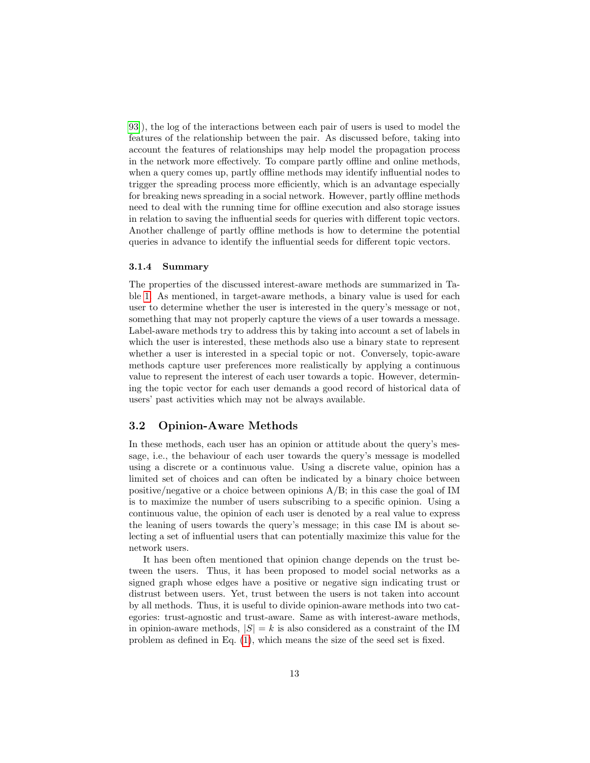[93\]](#page-34-6)), the log of the interactions between each pair of users is used to model the features of the relationship between the pair. As discussed before, taking into account the features of relationships may help model the propagation process in the network more effectively. To compare partly offline and online methods, when a query comes up, partly offline methods may identify influential nodes to trigger the spreading process more efficiently, which is an advantage especially for breaking news spreading in a social network. However, partly offline methods need to deal with the running time for offline execution and also storage issues in relation to saving the influential seeds for queries with different topic vectors. Another challenge of partly offline methods is how to determine the potential queries in advance to identify the influential seeds for different topic vectors.

#### 3.1.4 Summary

The properties of the discussed interest-aware methods are summarized in Table [1.](#page-13-0) As mentioned, in target-aware methods, a binary value is used for each user to determine whether the user is interested in the query's message or not, something that may not properly capture the views of a user towards a message. Label-aware methods try to address this by taking into account a set of labels in which the user is interested, these methods also use a binary state to represent whether a user is interested in a special topic or not. Conversely, topic-aware methods capture user preferences more realistically by applying a continuous value to represent the interest of each user towards a topic. However, determining the topic vector for each user demands a good record of historical data of users' past activities which may not be always available.

### 3.2 Opinion-Aware Methods

In these methods, each user has an opinion or attitude about the query's message, i.e., the behaviour of each user towards the query's message is modelled using a discrete or a continuous value. Using a discrete value, opinion has a limited set of choices and can often be indicated by a binary choice between positive/negative or a choice between opinions A/B; in this case the goal of IM is to maximize the number of users subscribing to a specific opinion. Using a continuous value, the opinion of each user is denoted by a real value to express the leaning of users towards the query's message; in this case IM is about selecting a set of influential users that can potentially maximize this value for the network users.

It has been often mentioned that opinion change depends on the trust between the users. Thus, it has been proposed to model social networks as a signed graph whose edges have a positive or negative sign indicating trust or distrust between users. Yet, trust between the users is not taken into account by all methods. Thus, it is useful to divide opinion-aware methods into two categories: trust-agnostic and trust-aware. Same as with interest-aware methods, in opinion-aware methods,  $|S| = k$  is also considered as a constraint of the IM problem as defined in Eq. [\(1\)](#page-6-1), which means the size of the seed set is fixed.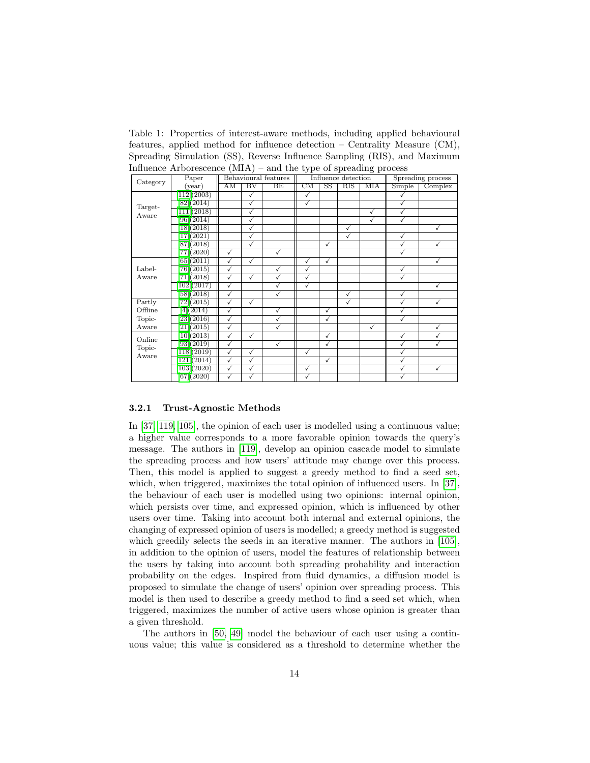<span id="page-13-0"></span>Table 1: Properties of interest-aware methods, including applied behavioural features, applied method for influence detection – Centrality Measure (CM), Spreading Simulation (SS), Reverse Influence Sampling (RIS), and Maximum Influence Arborescence (MIA) – and the type of spreading process

| Category                  | Paper                         |                         |              | Behavioural features    |                        |                        | Influence detection | Spreading process |              |              |
|---------------------------|-------------------------------|-------------------------|--------------|-------------------------|------------------------|------------------------|---------------------|-------------------|--------------|--------------|
|                           | (year)                        | AM                      | $_{\rm BV}$  | BE                      | $\overline{\text{CM}}$ | $\overline{\text{SS}}$ | RIS                 | <b>MIA</b>        | Simple       | Complex      |
| Target-<br>Aware          | [112](2003)                   |                         | $\checkmark$ |                         | ✓                      |                        |                     |                   |              |              |
|                           | [82] (2014)                   |                         | ✓            |                         | ✓                      |                        |                     |                   |              |              |
|                           | $\overline{111} \vert (2018)$ |                         | $\sqrt{}$    |                         |                        |                        |                     | ✓                 | √            |              |
|                           | [96](2014)                    |                         | ✓            |                         |                        |                        |                     | ✓                 | $\sqrt{2}$   |              |
|                           | [18] (2018)                   |                         | $\sqrt{}$    |                         |                        |                        | $\checkmark$        |                   |              | $\checkmark$ |
|                           | 17(2021)                      |                         | ✓            |                         |                        |                        | ✓                   |                   | √            |              |
|                           | $[87](\overline{2018})$       |                         | ✓            |                         |                        | ✓                      |                     |                   | √            | $\checkmark$ |
|                           | [77] (2020)                   | ✓                       |              | ✓                       |                        |                        |                     |                   | ✓            |              |
| Label-<br>Aware           | [65] (2011)                   | $\checkmark$            | $\checkmark$ |                         | ✓                      | $\checkmark$           |                     |                   |              | $\checkmark$ |
|                           | 76(2015)                      | ✓                       |              | ✓                       | ✓                      |                        |                     |                   | √            |              |
|                           | [71] (2018)                   | $\checkmark$            | $\checkmark$ | ✓                       | ✓                      |                        |                     |                   | ✓            |              |
|                           | [102](2017)                   | $\checkmark$            |              | ✓                       | ✓                      |                        |                     |                   |              | ✓            |
|                           | [58](2018)                    | $\overline{\checkmark}$ |              | $\overline{\checkmark}$ |                        |                        | $\sqrt{}$           |                   | √            |              |
| Partly                    | [72] (2015)                   | $\checkmark$            | ✓            |                         |                        |                        | $\checkmark$        |                   | ✓            | $\checkmark$ |
| Offline                   | [4](2014)                     | $\checkmark$            |              | ✓                       |                        | $\checkmark$           |                     |                   | ✓            |              |
| Topic-                    | $\sqrt{23(2016)}$             | $\checkmark$            |              | ✓                       |                        | $\checkmark$           |                     |                   | ✓            |              |
| Aware                     | [21](2015)                    | ✓                       |              | $\sqrt{}$               |                        |                        |                     | ✓                 |              | √            |
| Online<br>Topic-<br>Aware | [10](2013)                    | $\checkmark$            | ✓            |                         |                        | ✓                      |                     |                   | ✓            | √            |
|                           | [93](2019)                    | $\checkmark$            |              | ✓                       |                        | $\checkmark$           |                     |                   | √            | $\checkmark$ |
|                           | $\overline{118(2019)}$        | $\overline{\checkmark}$ | ✓            |                         | ✓                      |                        |                     |                   | √            |              |
|                           | [121](2014)                   | $\checkmark$            | ✓            |                         |                        | $\checkmark$           |                     |                   | ✓            |              |
|                           | [103](2020)                   | ✓                       | ✓            |                         | √                      |                        |                     |                   | $\checkmark$ | $\checkmark$ |
|                           | $[67]$ $(2020)$               | √                       | √            |                         | √                      |                        |                     |                   | √            |              |

#### 3.2.1 Trust-Agnostic Methods

In [\[37,](#page-30-7) [119,](#page-36-7) [105\]](#page-35-4), the opinion of each user is modelled using a continuous value; a higher value corresponds to a more favorable opinion towards the query's message. The authors in [\[119\]](#page-36-7), develop an opinion cascade model to simulate the spreading process and how users' attitude may change over this process. Then, this model is applied to suggest a greedy method to find a seed set, which, when triggered, maximizes the total opinion of influenced users. In [\[37\]](#page-30-7), the behaviour of each user is modelled using two opinions: internal opinion, which persists over time, and expressed opinion, which is influenced by other users over time. Taking into account both internal and external opinions, the changing of expressed opinion of users is modelled; a greedy method is suggested which greedily selects the seeds in an iterative manner. The authors in  $[105]$ , in addition to the opinion of users, model the features of relationship between the users by taking into account both spreading probability and interaction probability on the edges. Inspired from fluid dynamics, a diffusion model is proposed to simulate the change of users' opinion over spreading process. This model is then used to describe a greedy method to find a seed set which, when triggered, maximizes the number of active users whose opinion is greater than a given threshold.

The authors in [\[50,](#page-31-2) [49\]](#page-31-3) model the behaviour of each user using a continuous value; this value is considered as a threshold to determine whether the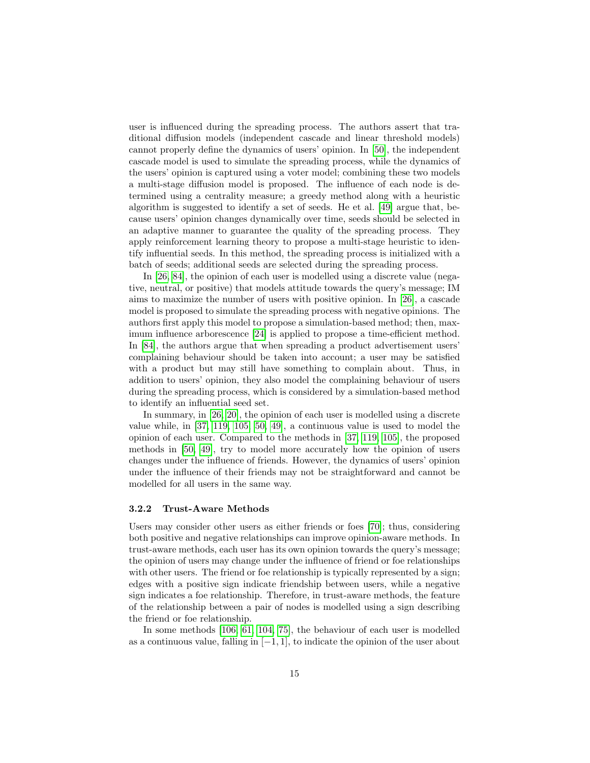user is influenced during the spreading process. The authors assert that traditional diffusion models (independent cascade and linear threshold models) cannot properly define the dynamics of users' opinion. In [\[50\]](#page-31-2), the independent cascade model is used to simulate the spreading process, while the dynamics of the users' opinion is captured using a voter model; combining these two models a multi-stage diffusion model is proposed. The influence of each node is determined using a centrality measure; a greedy method along with a heuristic algorithm is suggested to identify a set of seeds. He et al. [\[49\]](#page-31-3) argue that, because users' opinion changes dynamically over time, seeds should be selected in an adaptive manner to guarantee the quality of the spreading process. They apply reinforcement learning theory to propose a multi-stage heuristic to identify influential seeds. In this method, the spreading process is initialized with a batch of seeds; additional seeds are selected during the spreading process.

In [\[26,](#page-29-6) [84\]](#page-33-8), the opinion of each user is modelled using a discrete value (negative, neutral, or positive) that models attitude towards the query's message; IM aims to maximize the number of users with positive opinion. In [\[26\]](#page-29-6), a cascade model is proposed to simulate the spreading process with negative opinions. The authors first apply this model to propose a simulation-based method; then, maximum influence arborescence [\[24\]](#page-29-3) is applied to propose a time-efficient method. In [\[84\]](#page-33-8), the authors argue that when spreading a product advertisement users' complaining behaviour should be taken into account; a user may be satisfied with a product but may still have something to complain about. Thus, in addition to users' opinion, they also model the complaining behaviour of users during the spreading process, which is considered by a simulation-based method to identify an influential seed set.

In summary, in [\[26,](#page-29-6) [20\]](#page-28-9), the opinion of each user is modelled using a discrete value while, in [\[37,](#page-30-7) [119,](#page-36-7) [105,](#page-35-4) [50,](#page-31-2) [49\]](#page-31-3), a continuous value is used to model the opinion of each user. Compared to the methods in [\[37,](#page-30-7) [119,](#page-36-7) [105\]](#page-35-4), the proposed methods in [\[50,](#page-31-2) [49\]](#page-31-3), try to model more accurately how the opinion of users changes under the influence of friends. However, the dynamics of users' opinion under the influence of their friends may not be straightforward and cannot be modelled for all users in the same way.

#### 3.2.2 Trust-Aware Methods

Users may consider other users as either friends or foes [\[70\]](#page-32-4); thus, considering both positive and negative relationships can improve opinion-aware methods. In trust-aware methods, each user has its own opinion towards the query's message; the opinion of users may change under the influence of friend or foe relationships with other users. The friend or foe relationship is typically represented by a sign; edges with a positive sign indicate friendship between users, while a negative sign indicates a foe relationship. Therefore, in trust-aware methods, the feature of the relationship between a pair of nodes is modelled using a sign describing the friend or foe relationship.

In some methods [\[106,](#page-35-5) [61,](#page-32-5) [104,](#page-35-6) [75\]](#page-33-9), the behaviour of each user is modelled as a continuous value, falling in [−1, 1], to indicate the opinion of the user about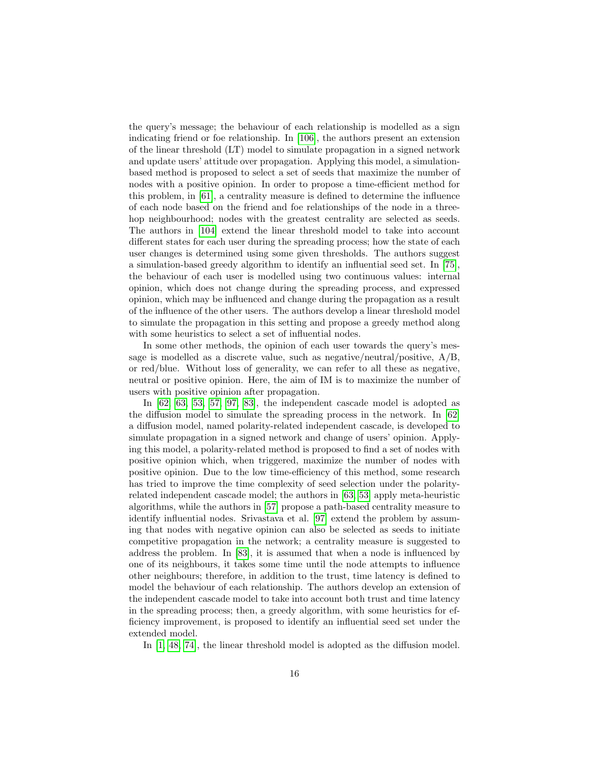the query's message; the behaviour of each relationship is modelled as a sign indicating friend or foe relationship. In [\[106\]](#page-35-5), the authors present an extension of the linear threshold (LT) model to simulate propagation in a signed network and update users' attitude over propagation. Applying this model, a simulationbased method is proposed to select a set of seeds that maximize the number of nodes with a positive opinion. In order to propose a time-efficient method for this problem, in [\[61\]](#page-32-5), a centrality measure is defined to determine the influence of each node based on the friend and foe relationships of the node in a threehop neighbourhood; nodes with the greatest centrality are selected as seeds. The authors in [\[104\]](#page-35-6) extend the linear threshold model to take into account different states for each user during the spreading process; how the state of each user changes is determined using some given thresholds. The authors suggest a simulation-based greedy algorithm to identify an influential seed set. In [\[75\]](#page-33-9), the behaviour of each user is modelled using two continuous values: internal opinion, which does not change during the spreading process, and expressed opinion, which may be influenced and change during the propagation as a result of the influence of the other users. The authors develop a linear threshold model to simulate the propagation in this setting and propose a greedy method along with some heuristics to select a set of influential nodes.

In some other methods, the opinion of each user towards the query's message is modelled as a discrete value, such as negative/neutral/positive, A/B, or red/blue. Without loss of generality, we can refer to all these as negative, neutral or positive opinion. Here, the aim of IM is to maximize the number of users with positive opinion after propagation.

In [\[62,](#page-32-6) [63,](#page-32-7) [53,](#page-31-4) [57,](#page-31-5) [97,](#page-34-7) [83\]](#page-33-10), the independent cascade model is adopted as the diffusion model to simulate the spreading process in the network. In [\[62\]](#page-32-6) a diffusion model, named polarity-related independent cascade, is developed to simulate propagation in a signed network and change of users' opinion. Applying this model, a polarity-related method is proposed to find a set of nodes with positive opinion which, when triggered, maximize the number of nodes with positive opinion. Due to the low time-efficiency of this method, some research has tried to improve the time complexity of seed selection under the polarityrelated independent cascade model; the authors in [\[63,](#page-32-7) [53\]](#page-31-4) apply meta-heuristic algorithms, while the authors in [\[57\]](#page-31-5) propose a path-based centrality measure to identify influential nodes. Srivastava et al. [\[97\]](#page-34-7) extend the problem by assuming that nodes with negative opinion can also be selected as seeds to initiate competitive propagation in the network; a centrality measure is suggested to address the problem. In [\[83\]](#page-33-10), it is assumed that when a node is influenced by one of its neighbours, it takes some time until the node attempts to influence other neighbours; therefore, in addition to the trust, time latency is defined to model the behaviour of each relationship. The authors develop an extension of the independent cascade model to take into account both trust and time latency in the spreading process; then, a greedy algorithm, with some heuristics for efficiency improvement, is proposed to identify an influential seed set under the extended model.

In [\[1,](#page-27-3) [48,](#page-31-6) [74\]](#page-33-11), the linear threshold model is adopted as the diffusion model.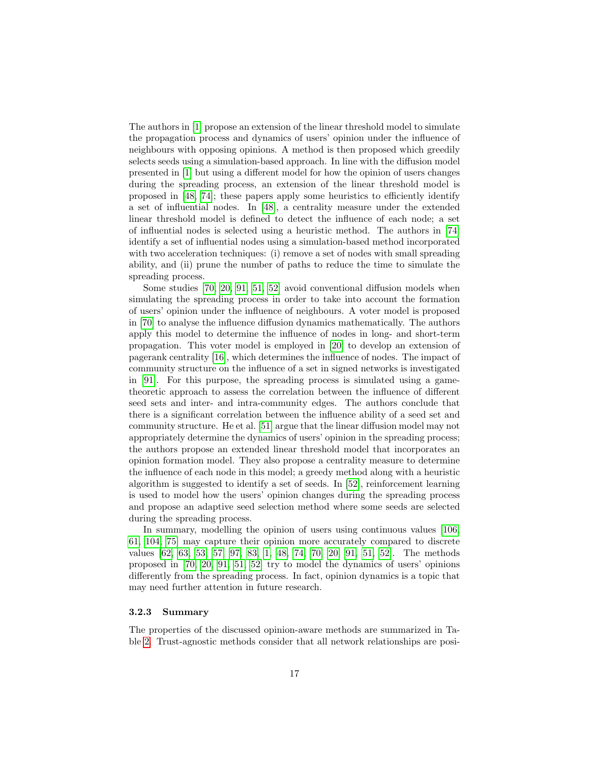The authors in [\[1\]](#page-27-3) propose an extension of the linear threshold model to simulate the propagation process and dynamics of users' opinion under the influence of neighbours with opposing opinions. A method is then proposed which greedily selects seeds using a simulation-based approach. In line with the diffusion model presented in [\[1\]](#page-27-3) but using a different model for how the opinion of users changes during the spreading process, an extension of the linear threshold model is proposed in [\[48,](#page-31-6) [74\]](#page-33-11); these papers apply some heuristics to efficiently identify a set of influential nodes. In [\[48\]](#page-31-6), a centrality measure under the extended linear threshold model is defined to detect the influence of each node; a set of influential nodes is selected using a heuristic method. The authors in [\[74\]](#page-33-11) identify a set of influential nodes using a simulation-based method incorporated with two acceleration techniques: (i) remove a set of nodes with small spreading ability, and (ii) prune the number of paths to reduce the time to simulate the spreading process.

Some studies [\[70,](#page-32-4) [20,](#page-28-9) [91,](#page-34-8) [51,](#page-31-7) [52\]](#page-31-8) avoid conventional diffusion models when simulating the spreading process in order to take into account the formation of users' opinion under the influence of neighbours. A voter model is proposed in [\[70\]](#page-32-4) to analyse the influence diffusion dynamics mathematically. The authors apply this model to determine the influence of nodes in long- and short-term propagation. This voter model is employed in [\[20\]](#page-28-9) to develop an extension of pagerank centrality [\[16\]](#page-28-10), which determines the influence of nodes. The impact of community structure on the influence of a set in signed networks is investigated in [\[91\]](#page-34-8). For this purpose, the spreading process is simulated using a gametheoretic approach to assess the correlation between the influence of different seed sets and inter- and intra-community edges. The authors conclude that there is a significant correlation between the influence ability of a seed set and community structure. He et al. [\[51\]](#page-31-7) argue that the linear diffusion model may not appropriately determine the dynamics of users' opinion in the spreading process; the authors propose an extended linear threshold model that incorporates an opinion formation model. They also propose a centrality measure to determine the influence of each node in this model; a greedy method along with a heuristic algorithm is suggested to identify a set of seeds. In [\[52\]](#page-31-8), reinforcement learning is used to model how the users' opinion changes during the spreading process and propose an adaptive seed selection method where some seeds are selected during the spreading process.

In summary, modelling the opinion of users using continuous values [\[106,](#page-35-5) [61,](#page-32-5) [104,](#page-35-6) [75\]](#page-33-9) may capture their opinion more accurately compared to discrete values [\[62,](#page-32-6) [63,](#page-32-7) [53,](#page-31-4) [57,](#page-31-5) [97,](#page-34-7) [83,](#page-33-10) [1,](#page-27-3) [48,](#page-31-6) [74,](#page-33-11) [70,](#page-32-4) [20,](#page-28-9) [91,](#page-34-8) [51,](#page-31-7) [52\]](#page-31-8). The methods proposed in [\[70,](#page-32-4) [20,](#page-28-9) [91,](#page-34-8) [51,](#page-31-7) [52\]](#page-31-8) try to model the dynamics of users' opinions differently from the spreading process. In fact, opinion dynamics is a topic that may need further attention in future research.

#### 3.2.3 Summary

The properties of the discussed opinion-aware methods are summarized in Table [2.](#page-17-0) Trust-agnostic methods consider that all network relationships are posi-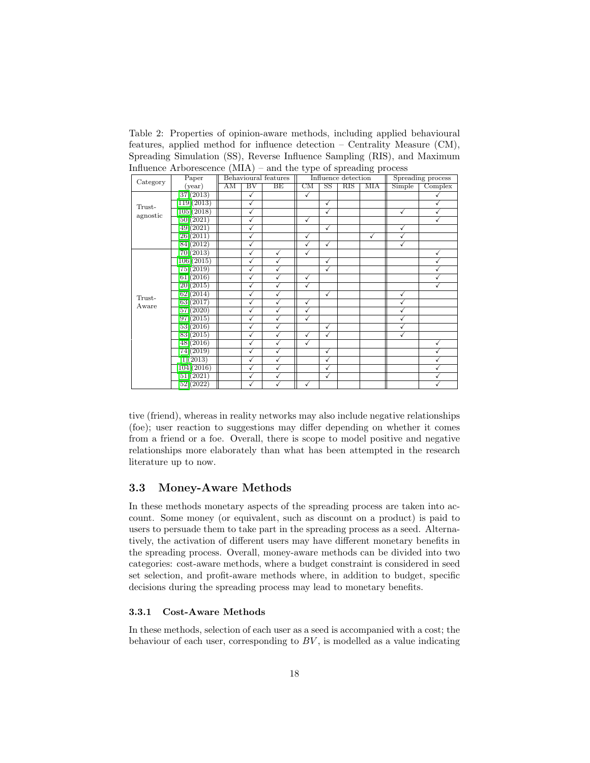<span id="page-17-0"></span>Table 2: Properties of opinion-aware methods, including applied behavioural features, applied method for influence detection – Centrality Measure (CM), Spreading Simulation (SS), Reverse Influence Sampling (RIS), and Maximum Influence Arborescence (MIA) – and the type of spreading process

|          |                                     |    |              |                      | ັ້                     |                          |                     | ິ້                |        |              |
|----------|-------------------------------------|----|--------------|----------------------|------------------------|--------------------------|---------------------|-------------------|--------|--------------|
| Category | Paper                               |    |              | Behavioural features |                        |                          | Influence detection | Spreading process |        |              |
|          | (year)                              | AM | $_{\rm BV}$  | BE                   | $\overline{\text{CM}}$ | $\overline{\mathrm{SS}}$ | RIS                 | <b>MIA</b>        | Simple | Complex      |
|          | [37](2013)                          |    | $\checkmark$ |                      | $\checkmark$           |                          |                     |                   |        |              |
| Trust-   | $\left[119\right]\left(2013\right)$ |    | ✓            |                      |                        | $\checkmark$             |                     |                   |        |              |
|          | $\overline{105(2018)}$              |    | ✓            |                      |                        | $\overline{\checkmark}$  |                     |                   | ✓      |              |
| agnostic | [50](2021)                          |    | ✓            |                      | ✓                      |                          |                     |                   |        |              |
|          | [49] (2021)                         |    | $\checkmark$ |                      |                        | $\checkmark$             |                     |                   | √      |              |
|          | [26](2011)                          |    | ✓            |                      | ✓                      |                          |                     | ✓                 | √      |              |
|          | [84](2012)                          |    | ✓            |                      | √                      | ✓                        |                     |                   | ✓      |              |
|          | [70](2013)                          |    | ✓            | $\checkmark$         | $\checkmark$           |                          |                     |                   |        | $\checkmark$ |
|          | $\left[106\right]\left(2015\right)$ |    | ✓            | $\checkmark$         |                        | $\checkmark$             |                     |                   |        | $\checkmark$ |
|          | 75(2019)                            |    | ✓            | ✓                    |                        | $\checkmark$             |                     |                   |        |              |
|          | [61] (2016)                         |    | ✓            | ✓                    | ✓                      |                          |                     |                   |        |              |
|          | [20](2015)                          |    | ✓            | ✓                    | ✓                      |                          |                     |                   |        |              |
| Trust-   | $\lceil 62 \rceil (2014)$           |    | ✓            | $\tilde{\mathbf{v}}$ |                        | ✓                        |                     |                   | √      |              |
| Aware    | [63] (2017)                         |    | ✓            | √                    | ✓                      |                          |                     |                   | √      |              |
|          | [57] (2020)                         |    | ✓            | $\checkmark$         | ✓                      |                          |                     |                   | ✓      |              |
|          | [97](2015)                          |    | ✓            | $\checkmark$         | ✓                      |                          |                     |                   | √      |              |
|          | [53](2016)                          |    | ✓            | ✓                    |                        | ✓                        |                     |                   | √      |              |
|          | [83] (2015)                         |    | ✓            | ✓                    | √                      | $\checkmark$             |                     |                   | √      |              |
|          | [48] (2016)                         |    | ✓            | $\checkmark$         | ✓                      |                          |                     |                   |        | √            |
|          | 74(2019)                            |    | ✓            | √                    |                        | ✓                        |                     |                   |        |              |
|          | 1(2013)                             |    | ✓            | $\tilde{\checkmark}$ |                        | $\checkmark$             |                     |                   |        | $\checkmark$ |
|          | [104](2016)                         |    | ✓            | ✓                    |                        | $\checkmark$             |                     |                   |        | √            |
|          | [51] (2021)                         |    | ✓            | $\checkmark$         |                        | $\checkmark$             |                     |                   |        | $\checkmark$ |
|          | 52(2022)                            |    | ✓            | ✓                    | ✓                      |                          |                     |                   |        |              |

tive (friend), whereas in reality networks may also include negative relationships (foe); user reaction to suggestions may differ depending on whether it comes from a friend or a foe. Overall, there is scope to model positive and negative relationships more elaborately than what has been attempted in the research literature up to now.

## 3.3 Money-Aware Methods

In these methods monetary aspects of the spreading process are taken into account. Some money (or equivalent, such as discount on a product) is paid to users to persuade them to take part in the spreading process as a seed. Alternatively, the activation of different users may have different monetary benefits in the spreading process. Overall, money-aware methods can be divided into two categories: cost-aware methods, where a budget constraint is considered in seed set selection, and profit-aware methods where, in addition to budget, specific decisions during the spreading process may lead to monetary benefits.

#### 3.3.1 Cost-Aware Methods

In these methods, selection of each user as a seed is accompanied with a cost; the behaviour of each user, corresponding to  $BV$ , is modelled as a value indicating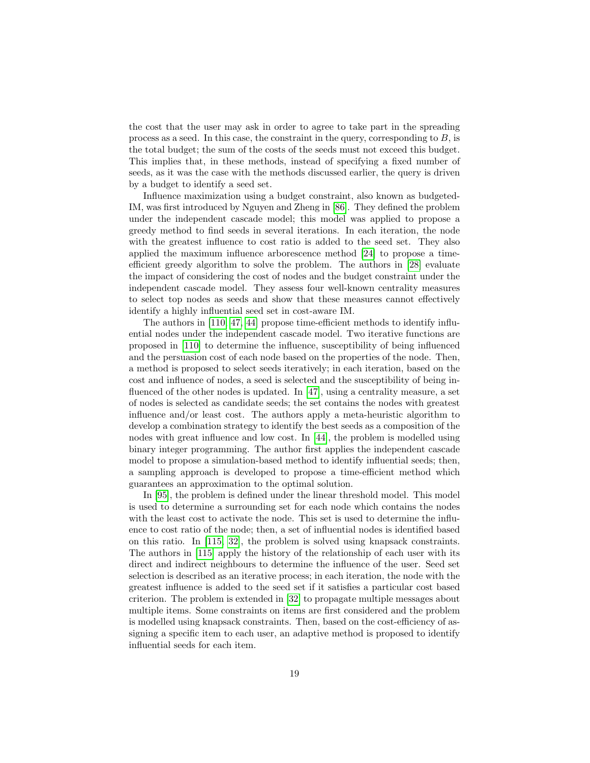the cost that the user may ask in order to agree to take part in the spreading process as a seed. In this case, the constraint in the query, corresponding to  $B$ , is the total budget; the sum of the costs of the seeds must not exceed this budget. This implies that, in these methods, instead of specifying a fixed number of seeds, as it was the case with the methods discussed earlier, the query is driven by a budget to identify a seed set.

Influence maximization using a budget constraint, also known as budgeted-IM, was first introduced by Nguyen and Zheng in [\[86\]](#page-34-9). They defined the problem under the independent cascade model; this model was applied to propose a greedy method to find seeds in several iterations. In each iteration, the node with the greatest influence to cost ratio is added to the seed set. They also applied the maximum influence arborescence method [\[24\]](#page-29-3) to propose a timeefficient greedy algorithm to solve the problem. The authors in [\[28\]](#page-29-7) evaluate the impact of considering the cost of nodes and the budget constraint under the independent cascade model. They assess four well-known centrality measures to select top nodes as seeds and show that these measures cannot effectively identify a highly influential seed set in cost-aware IM.

The authors in [\[110,](#page-35-7) [47,](#page-31-9) [44\]](#page-30-8) propose time-efficient methods to identify influential nodes under the independent cascade model. Two iterative functions are proposed in [\[110\]](#page-35-7) to determine the influence, susceptibility of being influenced and the persuasion cost of each node based on the properties of the node. Then, a method is proposed to select seeds iteratively; in each iteration, based on the cost and influence of nodes, a seed is selected and the susceptibility of being influenced of the other nodes is updated. In [\[47\]](#page-31-9), using a centrality measure, a set of nodes is selected as candidate seeds; the set contains the nodes with greatest influence and/or least cost. The authors apply a meta-heuristic algorithm to develop a combination strategy to identify the best seeds as a composition of the nodes with great influence and low cost. In [\[44\]](#page-30-8), the problem is modelled using binary integer programming. The author first applies the independent cascade model to propose a simulation-based method to identify influential seeds; then, a sampling approach is developed to propose a time-efficient method which guarantees an approximation to the optimal solution.

In [\[95\]](#page-34-10), the problem is defined under the linear threshold model. This model is used to determine a surrounding set for each node which contains the nodes with the least cost to activate the node. This set is used to determine the influence to cost ratio of the node; then, a set of influential nodes is identified based on this ratio. In [\[115,](#page-36-8) [32\]](#page-29-8), the problem is solved using knapsack constraints. The authors in [\[115\]](#page-36-8) apply the history of the relationship of each user with its direct and indirect neighbours to determine the influence of the user. Seed set selection is described as an iterative process; in each iteration, the node with the greatest influence is added to the seed set if it satisfies a particular cost based criterion. The problem is extended in [\[32\]](#page-29-8) to propagate multiple messages about multiple items. Some constraints on items are first considered and the problem is modelled using knapsack constraints. Then, based on the cost-efficiency of assigning a specific item to each user, an adaptive method is proposed to identify influential seeds for each item.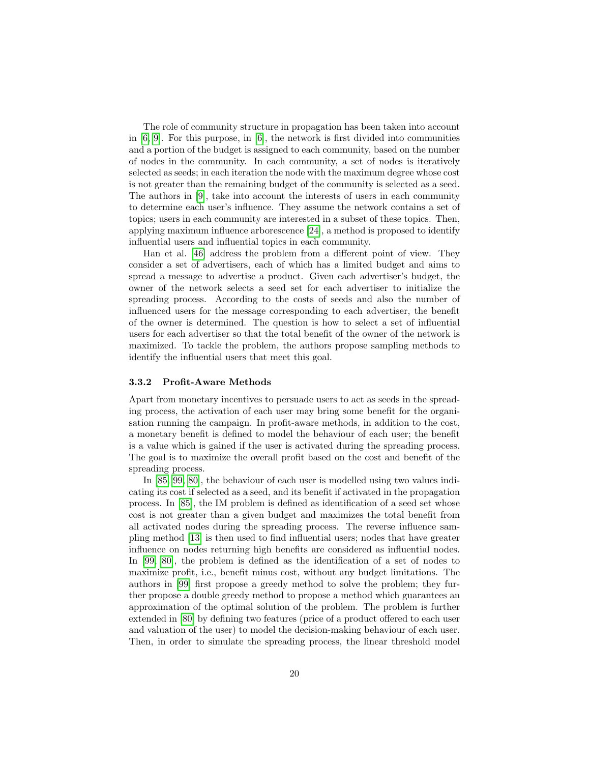The role of community structure in propagation has been taken into account in [\[6,](#page-27-4) [9\]](#page-28-11). For this purpose, in [\[6\]](#page-27-4), the network is first divided into communities and a portion of the budget is assigned to each community, based on the number of nodes in the community. In each community, a set of nodes is iteratively selected as seeds; in each iteration the node with the maximum degree whose cost is not greater than the remaining budget of the community is selected as a seed. The authors in [\[9\]](#page-28-11), take into account the interests of users in each community to determine each user's influence. They assume the network contains a set of topics; users in each community are interested in a subset of these topics. Then, applying maximum influence arborescence [\[24\]](#page-29-3), a method is proposed to identify influential users and influential topics in each community.

Han et al. [\[46\]](#page-30-9) address the problem from a different point of view. They consider a set of advertisers, each of which has a limited budget and aims to spread a message to advertise a product. Given each advertiser's budget, the owner of the network selects a seed set for each advertiser to initialize the spreading process. According to the costs of seeds and also the number of influenced users for the message corresponding to each advertiser, the benefit of the owner is determined. The question is how to select a set of influential users for each advertiser so that the total benefit of the owner of the network is maximized. To tackle the problem, the authors propose sampling methods to identify the influential users that meet this goal.

#### 3.3.2 Profit-Aware Methods

Apart from monetary incentives to persuade users to act as seeds in the spreading process, the activation of each user may bring some benefit for the organisation running the campaign. In profit-aware methods, in addition to the cost, a monetary benefit is defined to model the behaviour of each user; the benefit is a value which is gained if the user is activated during the spreading process. The goal is to maximize the overall profit based on the cost and benefit of the spreading process.

In [\[85,](#page-34-11) [99,](#page-35-8) [80\]](#page-33-12), the behaviour of each user is modelled using two values indicating its cost if selected as a seed, and its benefit if activated in the propagation process. In [\[85\]](#page-34-11), the IM problem is defined as identification of a seed set whose cost is not greater than a given budget and maximizes the total benefit from all activated nodes during the spreading process. The reverse influence sampling method [\[13\]](#page-28-3) is then used to find influential users; nodes that have greater influence on nodes returning high benefits are considered as influential nodes. In [\[99,](#page-35-8) [80\]](#page-33-12), the problem is defined as the identification of a set of nodes to maximize profit, i.e., benefit minus cost, without any budget limitations. The authors in [\[99\]](#page-35-8) first propose a greedy method to solve the problem; they further propose a double greedy method to propose a method which guarantees an approximation of the optimal solution of the problem. The problem is further extended in [\[80\]](#page-33-12) by defining two features (price of a product offered to each user and valuation of the user) to model the decision-making behaviour of each user. Then, in order to simulate the spreading process, the linear threshold model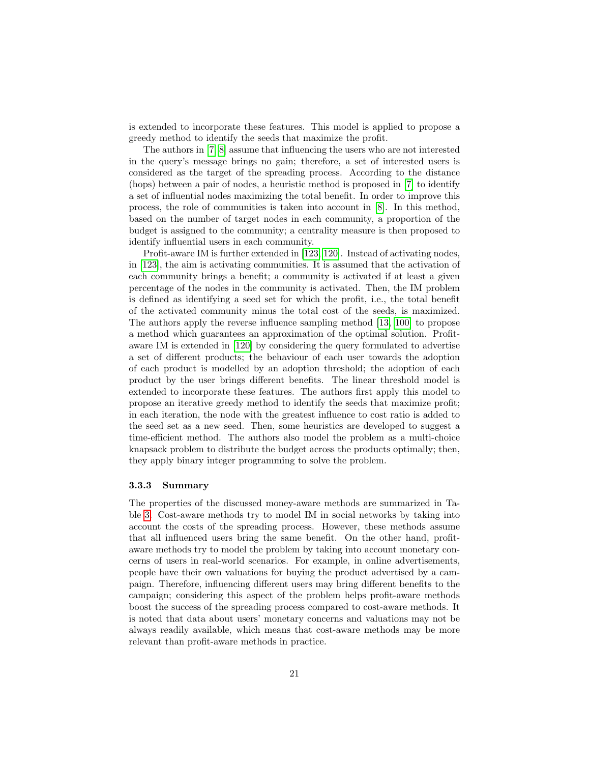is extended to incorporate these features. This model is applied to propose a greedy method to identify the seeds that maximize the profit.

The authors in [\[7,](#page-27-5) [8\]](#page-27-6) assume that influencing the users who are not interested in the query's message brings no gain; therefore, a set of interested users is considered as the target of the spreading process. According to the distance (hops) between a pair of nodes, a heuristic method is proposed in [\[7\]](#page-27-5) to identify a set of influential nodes maximizing the total benefit. In order to improve this process, the role of communities is taken into account in [\[8\]](#page-27-6). In this method, based on the number of target nodes in each community, a proportion of the budget is assigned to the community; a centrality measure is then proposed to identify influential users in each community.

Profit-aware IM is further extended in [\[123,](#page-36-9) [120\]](#page-36-10). Instead of activating nodes, in [\[123\]](#page-36-9), the aim is activating communities. It is assumed that the activation of each community brings a benefit; a community is activated if at least a given percentage of the nodes in the community is activated. Then, the IM problem is defined as identifying a seed set for which the profit, i.e., the total benefit of the activated community minus the total cost of the seeds, is maximized. The authors apply the reverse influence sampling method [\[13,](#page-28-3) [100\]](#page-35-1) to propose a method which guarantees an approximation of the optimal solution. Profitaware IM is extended in [\[120\]](#page-36-10) by considering the query formulated to advertise a set of different products; the behaviour of each user towards the adoption of each product is modelled by an adoption threshold; the adoption of each product by the user brings different benefits. The linear threshold model is extended to incorporate these features. The authors first apply this model to propose an iterative greedy method to identify the seeds that maximize profit; in each iteration, the node with the greatest influence to cost ratio is added to the seed set as a new seed. Then, some heuristics are developed to suggest a time-efficient method. The authors also model the problem as a multi-choice knapsack problem to distribute the budget across the products optimally; then, they apply binary integer programming to solve the problem.

#### 3.3.3 Summary

The properties of the discussed money-aware methods are summarized in Table [3.](#page-21-0) Cost-aware methods try to model IM in social networks by taking into account the costs of the spreading process. However, these methods assume that all influenced users bring the same benefit. On the other hand, profitaware methods try to model the problem by taking into account monetary concerns of users in real-world scenarios. For example, in online advertisements, people have their own valuations for buying the product advertised by a campaign. Therefore, influencing different users may bring different benefits to the campaign; considering this aspect of the problem helps profit-aware methods boost the success of the spreading process compared to cost-aware methods. It is noted that data about users' monetary concerns and valuations may not be always readily available, which means that cost-aware methods may be more relevant than profit-aware methods in practice.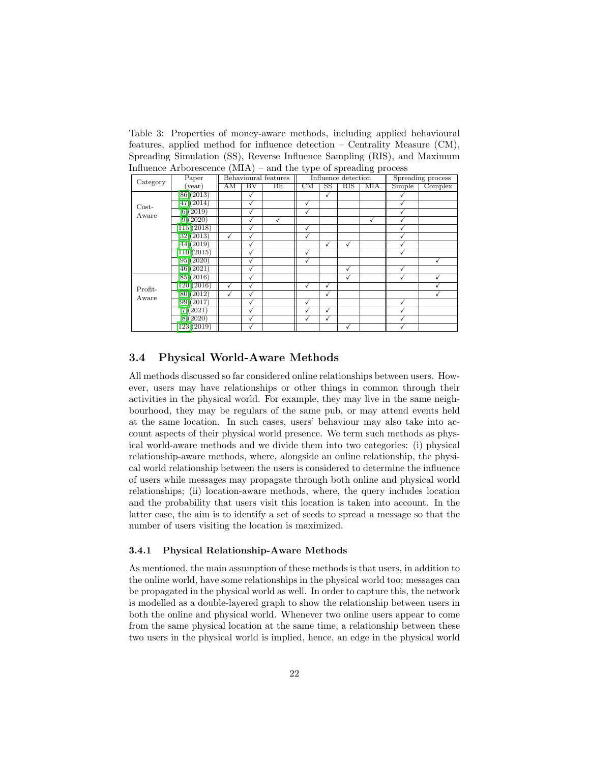<span id="page-21-0"></span>Table 3: Properties of money-aware methods, including applied behavioural features, applied method for influence detection – Centrality Measure (CM), Spreading Simulation (SS), Reverse Influence Sampling (RIS), and Maximum Influence Arborescence  $(MIA)$  – and the type of spreading process

| all back on the comment of beach comm |                        |              |                     |                      |                     |                        |                     |                   |        |         |
|---------------------------------------|------------------------|--------------|---------------------|----------------------|---------------------|------------------------|---------------------|-------------------|--------|---------|
| Category                              | Paper                  |              |                     | Behavioural features |                     |                        | Influence detection | Spreading process |        |         |
|                                       | (year)                 | AΜ           | $\overline{\rm BV}$ | BE                   | $\overline{\rm CM}$ | $\overline{\text{SS}}$ | RIS                 | <b>MIA</b>        | Simple | Complex |
| $Cost-$                               | [86](2013)             |              |                     |                      |                     | ✓                      |                     |                   |        |         |
|                                       | [47] (2014)            |              | √                   |                      | √                   |                        |                     |                   |        |         |
| Aware                                 | [6] (2019)             |              | $\checkmark$        |                      |                     |                        |                     |                   |        |         |
|                                       | [9] (2020)             |              |                     |                      |                     |                        |                     | ✓                 |        |         |
|                                       | [115](2018)            |              | √                   |                      | √                   |                        |                     |                   |        |         |
|                                       | [32] (2013)            | $\checkmark$ | $\bar{\checkmark}$  |                      | √                   |                        |                     |                   | √      |         |
|                                       | [44](2019)             |              | √                   |                      |                     | ✓                      | √                   |                   |        |         |
|                                       | [110](2015)            |              | √                   |                      | √                   |                        |                     |                   |        |         |
|                                       | [95](2020)             |              | $\checkmark$        |                      | ✓                   |                        |                     |                   |        | ✓       |
|                                       | [46] (2021)            |              | $\sqrt{}$           |                      |                     |                        | ✓                   |                   | √      |         |
|                                       | [85](2016)             |              | $\checkmark$        |                      |                     |                        | ✓                   |                   | √      |         |
| Profit-<br>Aware                      | [120](2016)            | √            | √                   |                      | √                   | √                      |                     |                   |        |         |
|                                       | [80](2012)             | √            | √                   |                      |                     | ✓                      |                     |                   |        |         |
|                                       | [99](2017)             |              | $\sqrt{}$           |                      | √                   |                        |                     |                   | v      |         |
|                                       | [7](2021)              |              | √                   |                      |                     | ✓                      |                     |                   |        |         |
|                                       | [8](2020)              |              | $\checkmark$        |                      | √                   | ✓                      |                     |                   |        |         |
|                                       | $\overline{123}(2019)$ |              |                     |                      |                     |                        |                     |                   |        |         |

## 3.4 Physical World-Aware Methods

All methods discussed so far considered online relationships between users. However, users may have relationships or other things in common through their activities in the physical world. For example, they may live in the same neighbourhood, they may be regulars of the same pub, or may attend events held at the same location. In such cases, users' behaviour may also take into account aspects of their physical world presence. We term such methods as physical world-aware methods and we divide them into two categories: (i) physical relationship-aware methods, where, alongside an online relationship, the physical world relationship between the users is considered to determine the influence of users while messages may propagate through both online and physical world relationships; (ii) location-aware methods, where, the query includes location and the probability that users visit this location is taken into account. In the latter case, the aim is to identify a set of seeds to spread a message so that the number of users visiting the location is maximized.

#### 3.4.1 Physical Relationship-Aware Methods

As mentioned, the main assumption of these methods is that users, in addition to the online world, have some relationships in the physical world too; messages can be propagated in the physical world as well. In order to capture this, the network is modelled as a double-layered graph to show the relationship between users in both the online and physical world. Whenever two online users appear to come from the same physical location at the same time, a relationship between these two users in the physical world is implied, hence, an edge in the physical world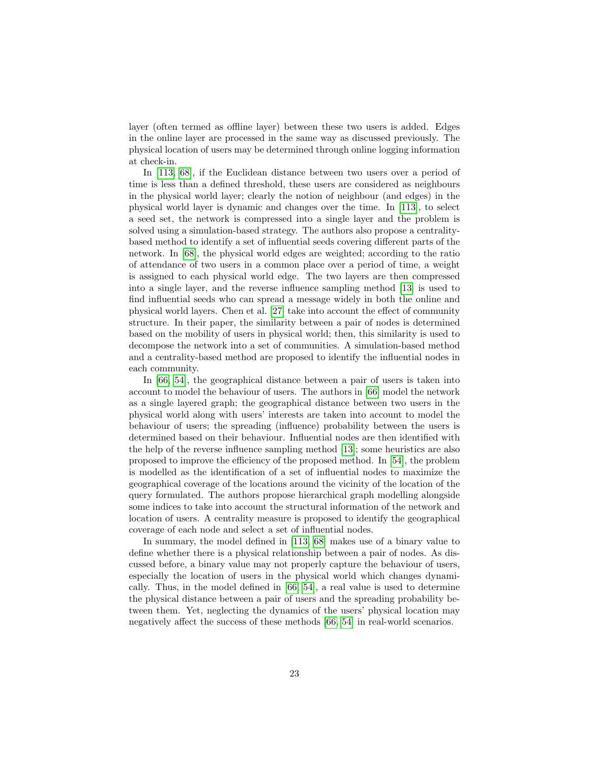layer (often termed as offline layer) between these two users is added. Edges in the online layer are processed in the same way as discussed previously. The physical location of users may be determined through online logging information at check-in.

In [\[113,](#page-36-11) [68\]](#page-32-8), if the Euclidean distance between two users over a period of time is less than a defined threshold, these users are considered as neighbours in the physical world layer; clearly the notion of neighbour (and edges) in the physical world layer is dynamic and changes over the time. In [\[113\]](#page-36-11), to select a seed set, the network is compressed into a single layer and the problem is solved using a simulation-based strategy. The authors also propose a centralitybased method to identify a set of influential seeds covering different parts of the network. In [\[68\]](#page-32-8), the physical world edges are weighted; according to the ratio of attendance of two users in a common place over a period of time, a weight is assigned to each physical world edge. The two layers are then compressed into a single layer, and the reverse influence sampling method [\[13\]](#page-28-3) is used to find influential seeds who can spread a message widely in both the online and physical world layers. Chen et al. [\[27\]](#page-29-9) take into account the effect of community structure. In their paper, the similarity between a pair of nodes is determined based on the mobility of users in physical world; then, this similarity is used to decompose the network into a set of communities. A simulation-based method and a centrality-based method are proposed to identify the influential nodes in each community.

In [\[66,](#page-32-9) [54\]](#page-31-10), the geographical distance between a pair of users is taken into account to model the behaviour of users. The authors in [\[66\]](#page-32-9) model the network as a single layered graph; the geographical distance between two users in the physical world along with users' interests are taken into account to model the behaviour of users; the spreading (influence) probability between the users is determined based on their behaviour. Influential nodes are then identified with the help of the reverse influence sampling method [\[13\]](#page-28-3); some heuristics are also proposed to improve the efficiency of the proposed method. In [\[54\]](#page-31-10), the problem is modelled as the identification of a set of influential nodes to maximize the geographical coverage of the locations around the vicinity of the location of the query formulated. The authors propose hierarchical graph modelling alongside some indices to take into account the structural information of the network and location of users. A centrality measure is proposed to identify the geographical coverage of each node and select a set of influential nodes.

In summary, the model defined in [\[113,](#page-36-11) [68\]](#page-32-8) makes use of a binary value to define whether there is a physical relationship between a pair of nodes. As discussed before, a binary value may not properly capture the behaviour of users, especially the location of users in the physical world which changes dynamically. Thus, in the model defined in [\[66,](#page-32-9) [54\]](#page-31-10), a real value is used to determine the physical distance between a pair of users and the spreading probability between them. Yet, neglecting the dynamics of the users' physical location may negatively affect the success of these methods [\[66,](#page-32-9) [54\]](#page-31-10) in real-world scenarios.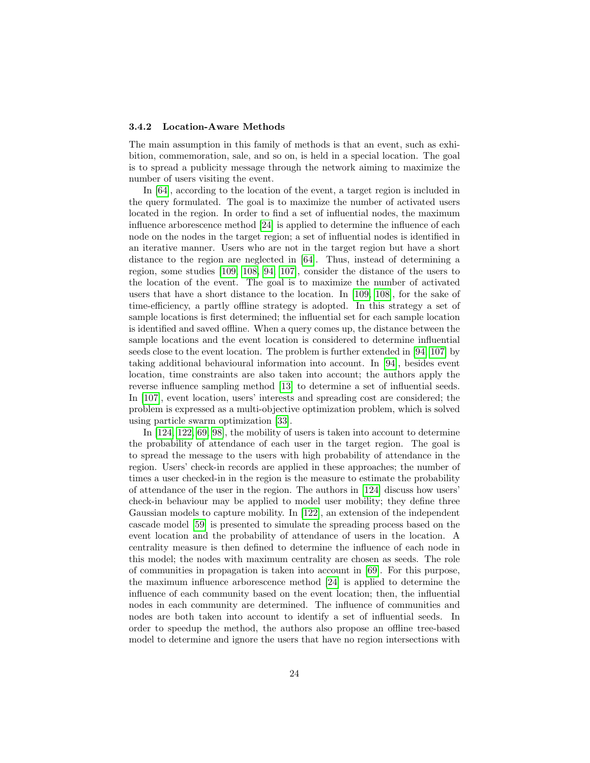#### 3.4.2 Location-Aware Methods

The main assumption in this family of methods is that an event, such as exhibition, commemoration, sale, and so on, is held in a special location. The goal is to spread a publicity message through the network aiming to maximize the number of users visiting the event.

In [\[64\]](#page-32-10), according to the location of the event, a target region is included in the query formulated. The goal is to maximize the number of activated users located in the region. In order to find a set of influential nodes, the maximum influence arborescence method [\[24\]](#page-29-3) is applied to determine the influence of each node on the nodes in the target region; a set of influential nodes is identified in an iterative manner. Users who are not in the target region but have a short distance to the region are neglected in [\[64\]](#page-32-10). Thus, instead of determining a region, some studies [\[109,](#page-35-9) [108,](#page-35-10) [94,](#page-34-12) [107\]](#page-35-11), consider the distance of the users to the location of the event. The goal is to maximize the number of activated users that have a short distance to the location. In [\[109,](#page-35-9) [108\]](#page-35-10), for the sake of time-efficiency, a partly offline strategy is adopted. In this strategy a set of sample locations is first determined; the influential set for each sample location is identified and saved offline. When a query comes up, the distance between the sample locations and the event location is considered to determine influential seeds close to the event location. The problem is further extended in [\[94,](#page-34-12) [107\]](#page-35-11) by taking additional behavioural information into account. In [\[94\]](#page-34-12), besides event location, time constraints are also taken into account; the authors apply the reverse influence sampling method [\[13\]](#page-28-3) to determine a set of influential seeds. In [\[107\]](#page-35-11), event location, users' interests and spreading cost are considered; the problem is expressed as a multi-objective optimization problem, which is solved using particle swarm optimization [\[33\]](#page-29-10).

In [\[124,](#page-37-0) [122,](#page-36-12) [69,](#page-32-11) [98\]](#page-35-12), the mobility of users is taken into account to determine the probability of attendance of each user in the target region. The goal is to spread the message to the users with high probability of attendance in the region. Users' check-in records are applied in these approaches; the number of times a user checked-in in the region is the measure to estimate the probability of attendance of the user in the region. The authors in [\[124\]](#page-37-0) discuss how users' check-in behaviour may be applied to model user mobility; they define three Gaussian models to capture mobility. In [\[122\]](#page-36-12), an extension of the independent cascade model [\[59\]](#page-32-0) is presented to simulate the spreading process based on the event location and the probability of attendance of users in the location. A centrality measure is then defined to determine the influence of each node in this model; the nodes with maximum centrality are chosen as seeds. The role of communities in propagation is taken into account in [\[69\]](#page-32-11). For this purpose, the maximum influence arborescence method [\[24\]](#page-29-3) is applied to determine the influence of each community based on the event location; then, the influential nodes in each community are determined. The influence of communities and nodes are both taken into account to identify a set of influential seeds. In order to speedup the method, the authors also propose an offline tree-based model to determine and ignore the users that have no region intersections with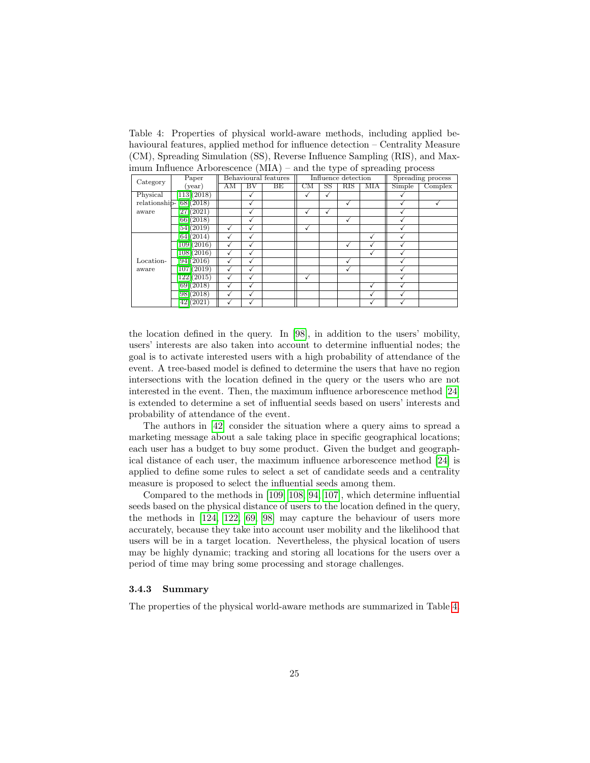<span id="page-24-0"></span>Table 4: Properties of physical world-aware methods, including applied behavioural features, applied method for influence detection – Centrality Measure (CM), Spreading Simulation (SS), Reverse Influence Sampling (RIS), and Maximum Influence Arborescence (MIA) – and the type of spreading process

| OF<br>.   |                               |    |                     |                      |    |             |                     |                   |        |         |
|-----------|-------------------------------|----|---------------------|----------------------|----|-------------|---------------------|-------------------|--------|---------|
| Category  | Paper                         |    |                     | Behavioural features |    |             | Influence detection | Spreading process |        |         |
|           | $(\text{year})$               | AM | $\overline{\rm BV}$ | BE                   | CM | $_{\rm SS}$ | RIS                 | MIA               | Simple | Complex |
| Physical  | [113](2018)                   |    |                     |                      | √  |             |                     |                   |        |         |
|           | relationship- $[68](2018)$    |    |                     |                      |    |             | ✓                   |                   |        |         |
| aware     | [27](2021)                    |    |                     |                      | √  |             |                     |                   |        |         |
|           | [66](2018)                    |    |                     |                      |    |             | √                   |                   |        |         |
|           | [54](2019)                    | √  |                     |                      | √  |             |                     |                   |        |         |
|           | [64] (2014)                   | √  | $\checkmark$        |                      |    |             |                     | √                 |        |         |
|           | [109](2016)                   | √  | √                   |                      |    |             | √                   |                   |        |         |
|           | [108](2016)                   | √  |                     |                      |    |             |                     |                   |        |         |
| Location- | [94] (2016)                   |    |                     |                      |    |             | √                   |                   |        |         |
| aware     | $\overline{107} \vert (2019)$ | √  |                     |                      |    |             |                     |                   |        |         |
|           | [122](2015)                   | √  | √                   |                      | √  |             |                     |                   |        |         |
|           | [69] (2018)                   | √  | √                   |                      |    |             |                     |                   |        |         |
|           | [98](2018)                    | √  | √                   |                      |    |             |                     | ✓                 |        |         |
|           | 42(2021)                      | √  |                     |                      |    |             |                     |                   |        |         |

the location defined in the query. In [\[98\]](#page-35-12), in addition to the users' mobility, users' interests are also taken into account to determine influential nodes; the goal is to activate interested users with a high probability of attendance of the event. A tree-based model is defined to determine the users that have no region intersections with the location defined in the query or the users who are not interested in the event. Then, the maximum influence arborescence method [\[24\]](#page-29-3) is extended to determine a set of influential seeds based on users' interests and probability of attendance of the event.

The authors in [\[42\]](#page-30-10) consider the situation where a query aims to spread a marketing message about a sale taking place in specific geographical locations; each user has a budget to buy some product. Given the budget and geographical distance of each user, the maximum influence arborescence method [\[24\]](#page-29-3) is applied to define some rules to select a set of candidate seeds and a centrality measure is proposed to select the influential seeds among them.

Compared to the methods in [\[109,](#page-35-9) [108,](#page-35-10) [94,](#page-34-12) [107\]](#page-35-11), which determine influential seeds based on the physical distance of users to the location defined in the query, the methods in [\[124,](#page-37-0) [122,](#page-36-12) [69,](#page-32-11) [98\]](#page-35-12) may capture the behaviour of users more accurately, because they take into account user mobility and the likelihood that users will be in a target location. Nevertheless, the physical location of users may be highly dynamic; tracking and storing all locations for the users over a period of time may bring some processing and storage challenges.

#### 3.4.3 Summary

The properties of the physical world-aware methods are summarized in Table [4.](#page-24-0)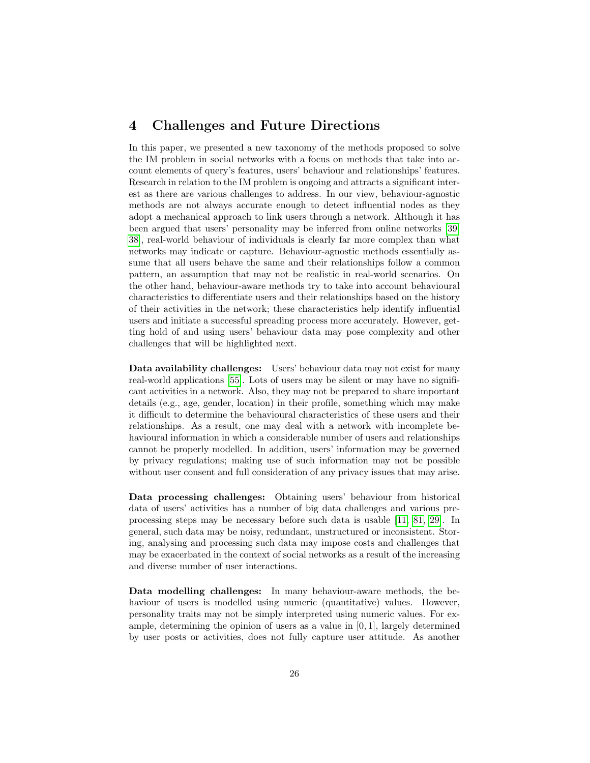# <span id="page-25-0"></span>4 Challenges and Future Directions

In this paper, we presented a new taxonomy of the methods proposed to solve the IM problem in social networks with a focus on methods that take into account elements of query's features, users' behaviour and relationships' features. Research in relation to the IM problem is ongoing and attracts a significant interest as there are various challenges to address. In our view, behaviour-agnostic methods are not always accurate enough to detect influential nodes as they adopt a mechanical approach to link users through a network. Although it has been argued that users' personality may be inferred from online networks [\[39,](#page-30-11) [38\]](#page-30-12), real-world behaviour of individuals is clearly far more complex than what networks may indicate or capture. Behaviour-agnostic methods essentially assume that all users behave the same and their relationships follow a common pattern, an assumption that may not be realistic in real-world scenarios. On the other hand, behaviour-aware methods try to take into account behavioural characteristics to differentiate users and their relationships based on the history of their activities in the network; these characteristics help identify influential users and initiate a successful spreading process more accurately. However, getting hold of and using users' behaviour data may pose complexity and other challenges that will be highlighted next.

Data availability challenges: Users' behaviour data may not exist for many real-world applications [\[55\]](#page-31-11). Lots of users may be silent or may have no significant activities in a network. Also, they may not be prepared to share important details (e.g., age, gender, location) in their profile, something which may make it difficult to determine the behavioural characteristics of these users and their relationships. As a result, one may deal with a network with incomplete behavioural information in which a considerable number of users and relationships cannot be properly modelled. In addition, users' information may be governed by privacy regulations; making use of such information may not be possible without user consent and full consideration of any privacy issues that may arise.

Data processing challenges: Obtaining users' behaviour from historical data of users' activities has a number of big data challenges and various preprocessing steps may be necessary before such data is usable [\[11,](#page-28-12) [81,](#page-33-13) [29\]](#page-29-11). In general, such data may be noisy, redundant, unstructured or inconsistent. Storing, analysing and processing such data may impose costs and challenges that may be exacerbated in the context of social networks as a result of the increasing and diverse number of user interactions.

Data modelling challenges: In many behaviour-aware methods, the behaviour of users is modelled using numeric (quantitative) values. However, personality traits may not be simply interpreted using numeric values. For example, determining the opinion of users as a value in  $[0, 1]$ , largely determined by user posts or activities, does not fully capture user attitude. As another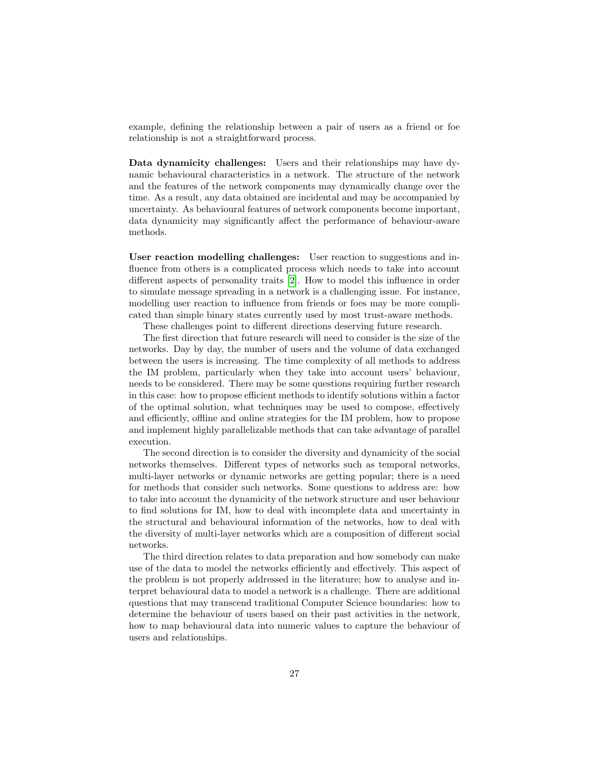example, defining the relationship between a pair of users as a friend or foe relationship is not a straightforward process.

Data dynamicity challenges: Users and their relationships may have dynamic behavioural characteristics in a network. The structure of the network and the features of the network components may dynamically change over the time. As a result, any data obtained are incidental and may be accompanied by uncertainty. As behavioural features of network components become important, data dynamicity may significantly affect the performance of behaviour-aware methods.

User reaction modelling challenges: User reaction to suggestions and influence from others is a complicated process which needs to take into account different aspects of personality traits [\[2\]](#page-27-7). How to model this influence in order to simulate message spreading in a network is a challenging issue. For instance, modelling user reaction to influence from friends or foes may be more complicated than simple binary states currently used by most trust-aware methods.

These challenges point to different directions deserving future research.

The first direction that future research will need to consider is the size of the networks. Day by day, the number of users and the volume of data exchanged between the users is increasing. The time complexity of all methods to address the IM problem, particularly when they take into account users' behaviour, needs to be considered. There may be some questions requiring further research in this case: how to propose efficient methods to identify solutions within a factor of the optimal solution, what techniques may be used to compose, effectively and efficiently, offline and online strategies for the IM problem, how to propose and implement highly parallelizable methods that can take advantage of parallel execution.

The second direction is to consider the diversity and dynamicity of the social networks themselves. Different types of networks such as temporal networks, multi-layer networks or dynamic networks are getting popular; there is a need for methods that consider such networks. Some questions to address are: how to take into account the dynamicity of the network structure and user behaviour to find solutions for IM, how to deal with incomplete data and uncertainty in the structural and behavioural information of the networks, how to deal with the diversity of multi-layer networks which are a composition of different social networks.

The third direction relates to data preparation and how somebody can make use of the data to model the networks efficiently and effectively. This aspect of the problem is not properly addressed in the literature; how to analyse and interpret behavioural data to model a network is a challenge. There are additional questions that may transcend traditional Computer Science boundaries: how to determine the behaviour of users based on their past activities in the network, how to map behavioural data into numeric values to capture the behaviour of users and relationships.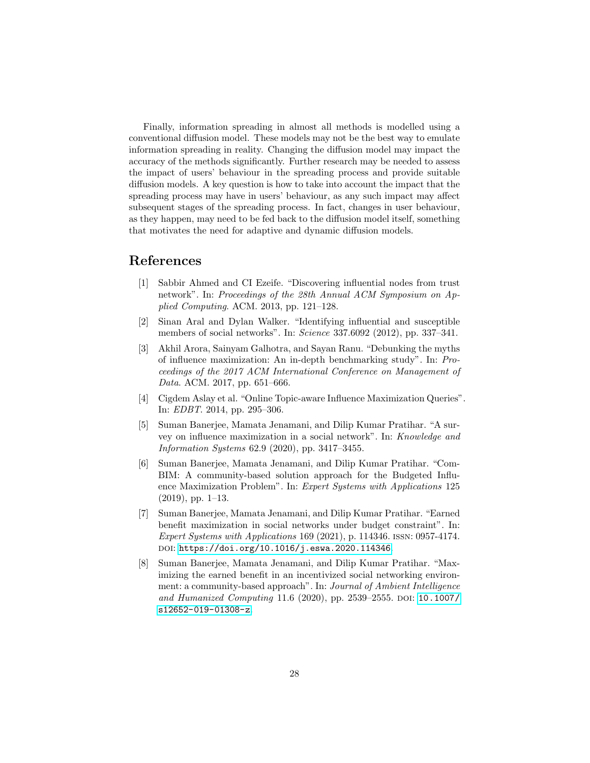Finally, information spreading in almost all methods is modelled using a conventional diffusion model. These models may not be the best way to emulate information spreading in reality. Changing the diffusion model may impact the accuracy of the methods significantly. Further research may be needed to assess the impact of users' behaviour in the spreading process and provide suitable diffusion models. A key question is how to take into account the impact that the spreading process may have in users' behaviour, as any such impact may affect subsequent stages of the spreading process. In fact, changes in user behaviour, as they happen, may need to be fed back to the diffusion model itself, something that motivates the need for adaptive and dynamic diffusion models.

# References

- <span id="page-27-3"></span>[1] Sabbir Ahmed and CI Ezeife. "Discovering influential nodes from trust network". In: Proceedings of the 28th Annual ACM Symposium on Applied Computing. ACM. 2013, pp. 121–128.
- <span id="page-27-7"></span>[2] Sinan Aral and Dylan Walker. "Identifying influential and susceptible members of social networks". In: Science 337.6092 (2012), pp. 337–341.
- <span id="page-27-0"></span>[3] Akhil Arora, Sainyam Galhotra, and Sayan Ranu. "Debunking the myths of influence maximization: An in-depth benchmarking study". In: Proceedings of the 2017 ACM International Conference on Management of Data. ACM. 2017, pp. 651–666.
- <span id="page-27-2"></span>[4] Cigdem Aslay et al. "Online Topic-aware Influence Maximization Queries". In: EDBT. 2014, pp. 295–306.
- <span id="page-27-1"></span>[5] Suman Banerjee, Mamata Jenamani, and Dilip Kumar Pratihar. "A survey on influence maximization in a social network". In: Knowledge and Information Systems 62.9 (2020), pp. 3417–3455.
- <span id="page-27-4"></span>[6] Suman Banerjee, Mamata Jenamani, and Dilip Kumar Pratihar. "Com-BIM: A community-based solution approach for the Budgeted Influence Maximization Problem". In: Expert Systems with Applications 125 (2019), pp. 1–13.
- <span id="page-27-5"></span>[7] Suman Banerjee, Mamata Jenamani, and Dilip Kumar Pratihar. "Earned benefit maximization in social networks under budget constraint". In: Expert Systems with Applications 169 (2021), p. 114346. issn: 0957-4174. doi: [https://doi.org/10.1016/j.eswa.2020.114346](https://doi.org/https://doi.org/10.1016/j.eswa.2020.114346).
- <span id="page-27-6"></span>[8] Suman Banerjee, Mamata Jenamani, and Dilip Kumar Pratihar. "Maximizing the earned benefit in an incentivized social networking environment: a community-based approach". In: Journal of Ambient Intelligence and Humanized Computing 11.6 (2020), pp. 2539–2555. doi: [10.1007/](https://doi.org/10.1007/s12652-019-01308-z) [s12652-019-01308-z](https://doi.org/10.1007/s12652-019-01308-z).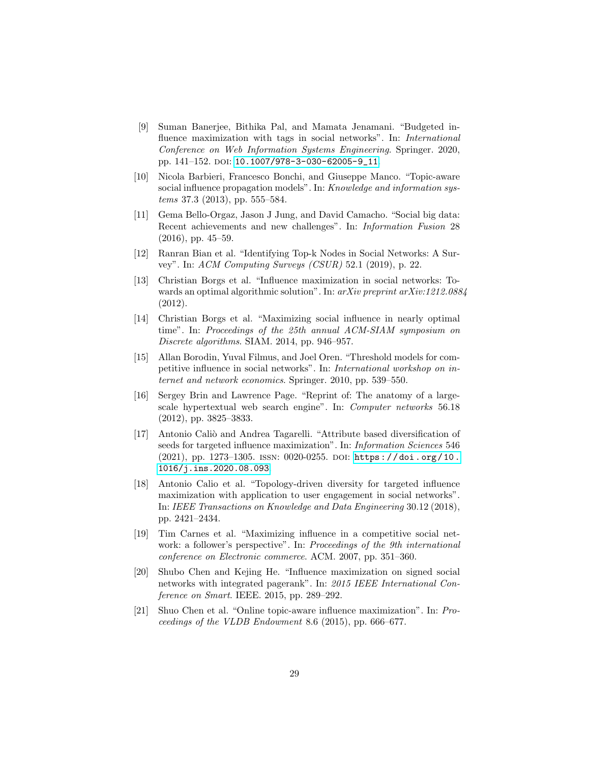- <span id="page-28-11"></span>[9] Suman Banerjee, Bithika Pal, and Mamata Jenamani. "Budgeted influence maximization with tags in social networks". In: International Conference on Web Information Systems Engineering. Springer. 2020, pp. 141–152. doi: [10.1007/978-3-030-62005-9\\_11](https://doi.org/10.1007/978-3-030-62005-9_11).
- <span id="page-28-8"></span>[10] Nicola Barbieri, Francesco Bonchi, and Giuseppe Manco. "Topic-aware social influence propagation models". In: Knowledge and information systems 37.3 (2013), pp. 555–584.
- <span id="page-28-12"></span>[11] Gema Bello-Orgaz, Jason J Jung, and David Camacho. "Social big data: Recent achievements and new challenges". In: Information Fusion 28 (2016), pp. 45–59.
- <span id="page-28-0"></span>[12] Ranran Bian et al. "Identifying Top-k Nodes in Social Networks: A Survey". In: ACM Computing Surveys (CSUR) 52.1 (2019), p. 22.
- <span id="page-28-3"></span>[13] Christian Borgs et al. "Influence maximization in social networks: Towards an optimal algorithmic solution". In: arXiv preprint arXiv:1212.0884 (2012).
- <span id="page-28-4"></span>[14] Christian Borgs et al. "Maximizing social influence in nearly optimal time". In: Proceedings of the 25th annual ACM-SIAM symposium on Discrete algorithms. SIAM. 2014, pp. 946–957.
- <span id="page-28-2"></span>[15] Allan Borodin, Yuval Filmus, and Joel Oren. "Threshold models for competitive influence in social networks". In: International workshop on internet and network economics. Springer. 2010, pp. 539–550.
- <span id="page-28-10"></span>[16] Sergey Brin and Lawrence Page. "Reprint of: The anatomy of a largescale hypertextual web search engine". In: Computer networks 56.18 (2012), pp. 3825–3833.
- <span id="page-28-5"></span>[17] Antonio Caliò and Andrea Tagarelli. "Attribute based diversification of seeds for targeted influence maximization". In: Information Sciences 546  $(2021)$ , pp. 1273–1305. ISSN: 0020-0255. DOI: https://doi.org/10. [1016/j.ins.2020.08.093](https://doi.org/https://doi.org/10.1016/j.ins.2020.08.093).
- <span id="page-28-6"></span>[18] Antonio Calio et al. "Topology-driven diversity for targeted influence maximization with application to user engagement in social networks". In: IEEE Transactions on Knowledge and Data Engineering 30.12 (2018), pp. 2421–2434.
- <span id="page-28-1"></span>[19] Tim Carnes et al. "Maximizing influence in a competitive social network: a follower's perspective". In: Proceedings of the 9th international conference on Electronic commerce. ACM. 2007, pp. 351–360.
- <span id="page-28-9"></span>[20] Shubo Chen and Kejing He. "Influence maximization on signed social networks with integrated pagerank". In: 2015 IEEE International Conference on Smart. IEEE. 2015, pp. 289–292.
- <span id="page-28-7"></span>[21] Shuo Chen et al. "Online topic-aware influence maximization". In: Proceedings of the VLDB Endowment 8.6 (2015), pp. 666–677.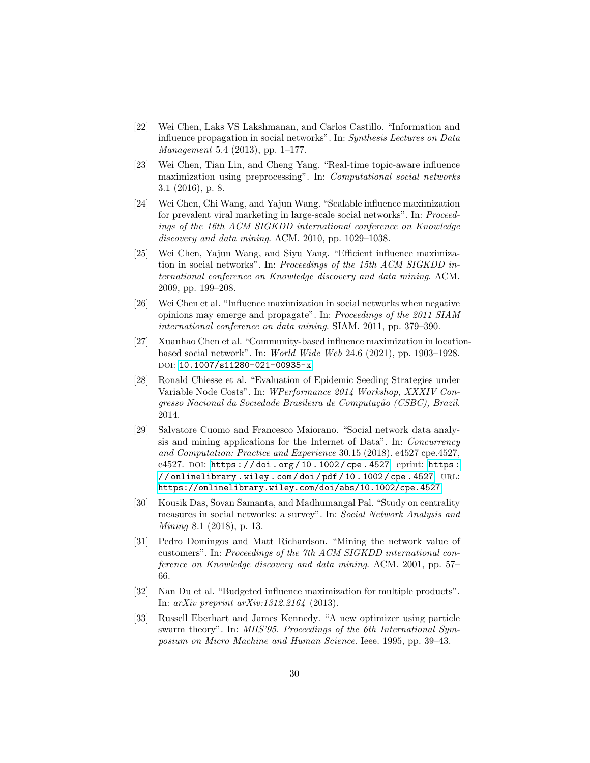- <span id="page-29-1"></span>[22] Wei Chen, Laks VS Lakshmanan, and Carlos Castillo. "Information and influence propagation in social networks". In: Synthesis Lectures on Data Management 5.4 (2013), pp. 1–177.
- <span id="page-29-5"></span>[23] Wei Chen, Tian Lin, and Cheng Yang. "Real-time topic-aware influence maximization using preprocessing". In: Computational social networks 3.1 (2016), p. 8.
- <span id="page-29-3"></span>[24] Wei Chen, Chi Wang, and Yajun Wang. "Scalable influence maximization for prevalent viral marketing in large-scale social networks". In: Proceedings of the 16th ACM SIGKDD international conference on Knowledge discovery and data mining. ACM. 2010, pp. 1029–1038.
- <span id="page-29-4"></span>[25] Wei Chen, Yajun Wang, and Siyu Yang. "Efficient influence maximization in social networks". In: Proceedings of the 15th ACM SIGKDD international conference on Knowledge discovery and data mining. ACM. 2009, pp. 199–208.
- <span id="page-29-6"></span>[26] Wei Chen et al. "Influence maximization in social networks when negative opinions may emerge and propagate". In: Proceedings of the 2011 SIAM international conference on data mining. SIAM. 2011, pp. 379–390.
- <span id="page-29-9"></span>[27] Xuanhao Chen et al. "Community-based influence maximization in locationbased social network". In: World Wide Web 24.6 (2021), pp. 1903–1928. doi: [10.1007/s11280-021-00935-x](https://doi.org/10.1007/s11280-021-00935-x).
- <span id="page-29-7"></span>[28] Ronald Chiesse et al. "Evaluation of Epidemic Seeding Strategies under Variable Node Costs". In: WPerformance 2014 Workshop, XXXIV Congresso Nacional da Sociedade Brasileira de Computação (CSBC), Brazil. 2014.
- <span id="page-29-11"></span>[29] Salvatore Cuomo and Francesco Maiorano. "Social network data analysis and mining applications for the Internet of Data". In: Concurrency and Computation: Practice and Experience 30.15 (2018). e4527 cpe.4527, e4527. DOI: [https :](https://onlinelibrary.wiley.com/doi/pdf/10.1002/cpe.4527) //doi.org/10.1002/cpe.4527. eprint: https : [/ / onlinelibrary . wiley . com / doi / pdf / 10 . 1002 / cpe . 4527](https://onlinelibrary.wiley.com/doi/pdf/10.1002/cpe.4527). url: <https://onlinelibrary.wiley.com/doi/abs/10.1002/cpe.4527>.
- <span id="page-29-2"></span>[30] Kousik Das, Sovan Samanta, and Madhumangal Pal. "Study on centrality measures in social networks: a survey". In: Social Network Analysis and Mining 8.1 (2018), p. 13.
- <span id="page-29-0"></span>[31] Pedro Domingos and Matt Richardson. "Mining the network value of customers". In: Proceedings of the 7th ACM SIGKDD international conference on Knowledge discovery and data mining. ACM. 2001, pp. 57– 66.
- <span id="page-29-8"></span>[32] Nan Du et al. "Budgeted influence maximization for multiple products". In: arXiv preprint arXiv:1312.2164 (2013).
- <span id="page-29-10"></span>[33] Russell Eberhart and James Kennedy. "A new optimizer using particle swarm theory". In: MHS'95. Proceedings of the 6th International Symposium on Micro Machine and Human Science. Ieee. 1995, pp. 39–43.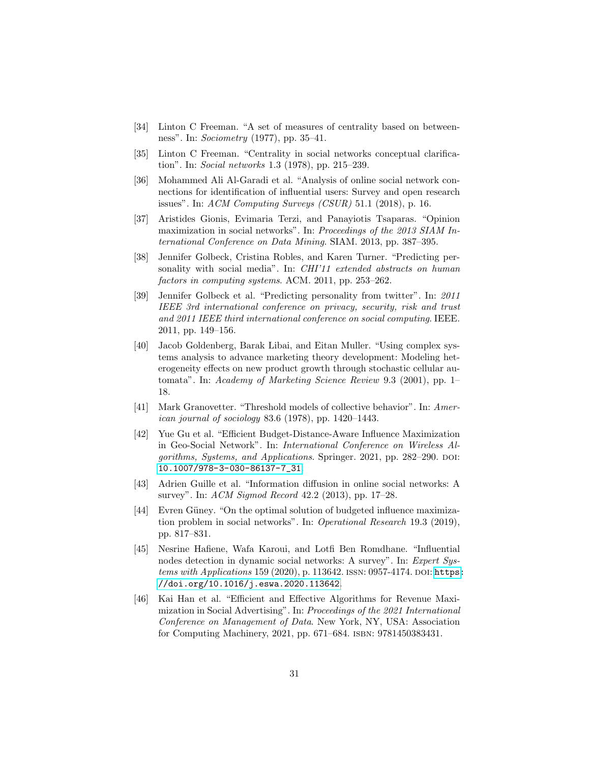- <span id="page-30-4"></span>[34] Linton C Freeman. "A set of measures of centrality based on betweenness". In: Sociometry (1977), pp. 35–41.
- <span id="page-30-3"></span>[35] Linton C Freeman. "Centrality in social networks conceptual clarification". In: Social networks 1.3 (1978), pp. 215–239.
- <span id="page-30-1"></span>[36] Mohammed Ali Al-Garadi et al. "Analysis of online social network connections for identification of influential users: Survey and open research issues". In: ACM Computing Surveys (CSUR) 51.1 (2018), p. 16.
- <span id="page-30-7"></span>[37] Aristides Gionis, Evimaria Terzi, and Panayiotis Tsaparas. "Opinion maximization in social networks". In: Proceedings of the 2013 SIAM International Conference on Data Mining. SIAM. 2013, pp. 387–395.
- <span id="page-30-12"></span>[38] Jennifer Golbeck, Cristina Robles, and Karen Turner. "Predicting personality with social media". In: CHI'11 extended abstracts on human factors in computing systems. ACM. 2011, pp. 253–262.
- <span id="page-30-11"></span>[39] Jennifer Golbeck et al. "Predicting personality from twitter". In: 2011 IEEE 3rd international conference on privacy, security, risk and trust and 2011 IEEE third international conference on social computing. IEEE. 2011, pp. 149–156.
- <span id="page-30-5"></span>[40] Jacob Goldenberg, Barak Libai, and Eitan Muller. "Using complex systems analysis to advance marketing theory development: Modeling heterogeneity effects on new product growth through stochastic cellular automata". In: Academy of Marketing Science Review 9.3 (2001), pp. 1– 18.
- <span id="page-30-6"></span>[41] Mark Granovetter. "Threshold models of collective behavior". In: American journal of sociology 83.6 (1978), pp. 1420–1443.
- <span id="page-30-10"></span>[42] Yue Gu et al. "Efficient Budget-Distance-Aware Influence Maximization in Geo-Social Network". In: International Conference on Wireless Algorithms, Systems, and Applications. Springer. 2021, pp. 282–290. DOI: [10.1007/978-3-030-86137-7\\_31](https://doi.org/10.1007/978-3-030-86137-7_31).
- <span id="page-30-0"></span>[43] Adrien Guille et al. "Information diffusion in online social networks: A survey". In: ACM Sigmod Record 42.2 (2013), pp. 17–28.
- <span id="page-30-8"></span>[44] Evren Güney. "On the optimal solution of budgeted influence maximization problem in social networks". In: Operational Research 19.3 (2019), pp. 817–831.
- <span id="page-30-2"></span>[45] Nesrine Hafiene, Wafa Karoui, and Lotfi Ben Romdhane. "Influential nodes detection in dynamic social networks: A survey". In: Expert Systems with Applications 159 (2020), p. 113642. ISSN: 0957-4174. DOI: [https:](https://doi.org/https://doi.org/10.1016/j.eswa.2020.113642) [//doi.org/10.1016/j.eswa.2020.113642](https://doi.org/https://doi.org/10.1016/j.eswa.2020.113642).
- <span id="page-30-9"></span>[46] Kai Han et al. "Efficient and Effective Algorithms for Revenue Maximization in Social Advertising". In: Proceedings of the 2021 International Conference on Management of Data. New York, NY, USA: Association for Computing Machinery, 2021, pp. 671–684. isbn: 9781450383431.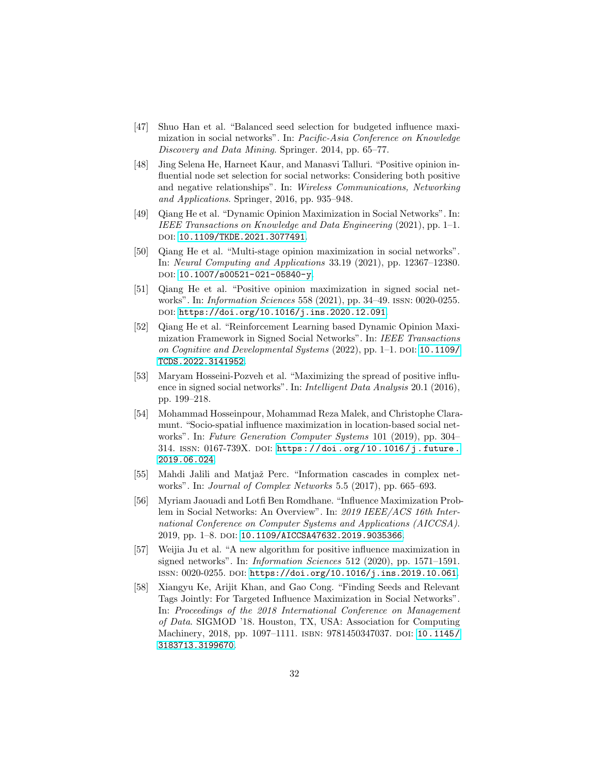- <span id="page-31-9"></span>[47] Shuo Han et al. "Balanced seed selection for budgeted influence maximization in social networks". In: Pacific-Asia Conference on Knowledge Discovery and Data Mining. Springer. 2014, pp. 65–77.
- <span id="page-31-6"></span>[48] Jing Selena He, Harneet Kaur, and Manasvi Talluri. "Positive opinion influential node set selection for social networks: Considering both positive and negative relationships". In: Wireless Communications, Networking and Applications. Springer, 2016, pp. 935–948.
- <span id="page-31-3"></span>[49] Qiang He et al. "Dynamic Opinion Maximization in Social Networks". In: IEEE Transactions on Knowledge and Data Engineering (2021), pp. 1–1. DOI: [10.1109/TKDE.2021.3077491](https://doi.org/10.1109/TKDE.2021.3077491).
- <span id="page-31-2"></span>[50] Qiang He et al. "Multi-stage opinion maximization in social networks". In: Neural Computing and Applications 33.19 (2021), pp. 12367–12380. DOI: [10.1007/s00521-021-05840-y](https://doi.org/10.1007/s00521-021-05840-y).
- <span id="page-31-7"></span>[51] Qiang He et al. "Positive opinion maximization in signed social networks". In: Information Sciences 558 (2021), pp. 34–49. issn: 0020-0255. doi: [https://doi.org/10.1016/j.ins.2020.12.091](https://doi.org/https://doi.org/10.1016/j.ins.2020.12.091).
- <span id="page-31-8"></span>[52] Qiang He et al. "Reinforcement Learning based Dynamic Opinion Maximization Framework in Signed Social Networks". In: IEEE Transactions on Cognitive and Developmental Systems (2022), pp. 1–1. DOI: [10.1109/](https://doi.org/10.1109/TCDS.2022.3141952) [TCDS.2022.3141952](https://doi.org/10.1109/TCDS.2022.3141952).
- <span id="page-31-4"></span>[53] Maryam Hosseini-Pozveh et al. "Maximizing the spread of positive influence in signed social networks". In: Intelligent Data Analysis 20.1 (2016), pp. 199–218.
- <span id="page-31-10"></span>[54] Mohammad Hosseinpour, Mohammad Reza Malek, and Christophe Claramunt. "Socio-spatial influence maximization in location-based social networks". In: Future Generation Computer Systems 101 (2019), pp. 304– 314. ISSN: 0167-739X. DOI: https://doi.org/10.1016/j.future. [2019.06.024](https://doi.org/https://doi.org/10.1016/j.future.2019.06.024).
- <span id="page-31-11"></span>[55] Mahdi Jalili and Matjaˇz Perc. "Information cascades in complex networks". In: Journal of Complex Networks 5.5 (2017), pp. 665–693.
- <span id="page-31-0"></span>[56] Myriam Jaouadi and Lotfi Ben Romdhane. "Influence Maximization Problem in Social Networks: An Overview". In: 2019 IEEE/ACS 16th International Conference on Computer Systems and Applications (AICCSA). 2019, pp. 1–8. doi: [10.1109/AICCSA47632.2019.9035366](https://doi.org/10.1109/AICCSA47632.2019.9035366).
- <span id="page-31-5"></span>[57] Weijia Ju et al. "A new algorithm for positive influence maximization in signed networks". In: Information Sciences 512 (2020), pp. 1571–1591. issn: 0020-0255. doi: [https://doi.org/10.1016/j.ins.2019.10.061](https://doi.org/https://doi.org/10.1016/j.ins.2019.10.061).
- <span id="page-31-1"></span>[58] Xiangyu Ke, Arijit Khan, and Gao Cong. "Finding Seeds and Relevant Tags Jointly: For Targeted Influence Maximization in Social Networks". In: Proceedings of the 2018 International Conference on Management of Data. SIGMOD '18. Houston, TX, USA: Association for Computing Machinery, 2018, pp. 1097-1111. ISBN: 9781450347037. DOI: [10.1145/](https://doi.org/10.1145/3183713.3199670) [3183713.3199670](https://doi.org/10.1145/3183713.3199670).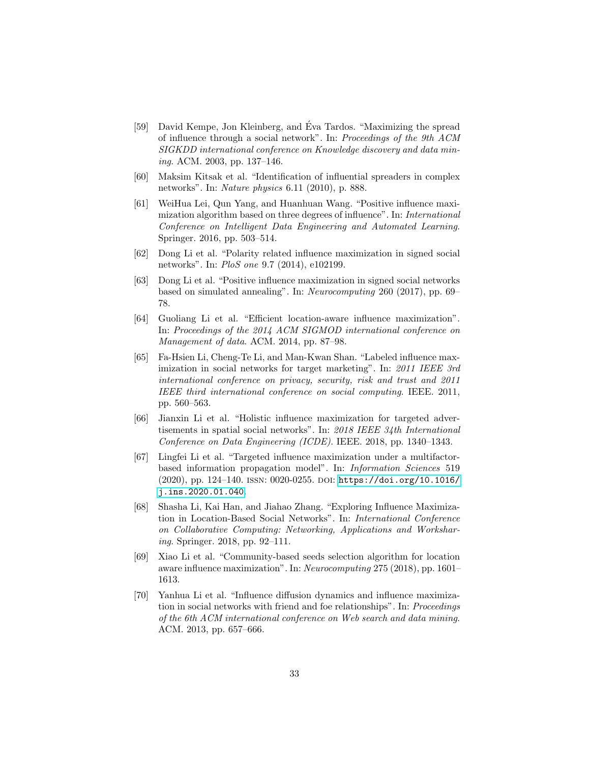- <span id="page-32-0"></span>[59] David Kempe, Jon Kleinberg, and Eva Tardos. "Maximizing the spread ´ of influence through a social network". In: Proceedings of the 9th ACM SIGKDD international conference on Knowledge discovery and data mining. ACM. 2003, pp. 137–146.
- <span id="page-32-1"></span>[60] Maksim Kitsak et al. "Identification of influential spreaders in complex networks". In: Nature physics 6.11 (2010), p. 888.
- <span id="page-32-5"></span>[61] WeiHua Lei, Qun Yang, and Huanhuan Wang. "Positive influence maximization algorithm based on three degrees of influence". In: International Conference on Intelligent Data Engineering and Automated Learning. Springer. 2016, pp. 503–514.
- <span id="page-32-6"></span>[62] Dong Li et al. "Polarity related influence maximization in signed social networks". In: PloS one 9.7 (2014), e102199.
- <span id="page-32-7"></span>[63] Dong Li et al. "Positive influence maximization in signed social networks based on simulated annealing". In: Neurocomputing 260 (2017), pp. 69– 78.
- <span id="page-32-10"></span>[64] Guoliang Li et al. "Efficient location-aware influence maximization". In: Proceedings of the 2014 ACM SIGMOD international conference on Management of data. ACM. 2014, pp. 87–98.
- <span id="page-32-2"></span>[65] Fa-Hsien Li, Cheng-Te Li, and Man-Kwan Shan. "Labeled influence maximization in social networks for target marketing". In: 2011 IEEE 3rd international conference on privacy, security, risk and trust and 2011 IEEE third international conference on social computing. IEEE. 2011, pp. 560–563.
- <span id="page-32-9"></span>[66] Jianxin Li et al. "Holistic influence maximization for targeted advertisements in spatial social networks". In: 2018 IEEE 34th International Conference on Data Engineering (ICDE). IEEE. 2018, pp. 1340–1343.
- <span id="page-32-3"></span>[67] Lingfei Li et al. "Targeted influence maximization under a multifactorbased information propagation model". In: Information Sciences 519 (2020), pp. 124–140. issn: 0020-0255. doi: [https://doi.org/10.1016/](https://doi.org/https://doi.org/10.1016/j.ins.2020.01.040) [j.ins.2020.01.040](https://doi.org/https://doi.org/10.1016/j.ins.2020.01.040).
- <span id="page-32-8"></span>[68] Shasha Li, Kai Han, and Jiahao Zhang. "Exploring Influence Maximization in Location-Based Social Networks". In: International Conference on Collaborative Computing: Networking, Applications and Worksharing. Springer. 2018, pp. 92–111.
- <span id="page-32-11"></span>[69] Xiao Li et al. "Community-based seeds selection algorithm for location aware influence maximization". In: Neurocomputing 275 (2018), pp. 1601– 1613.
- <span id="page-32-4"></span>[70] Yanhua Li et al. "Influence diffusion dynamics and influence maximization in social networks with friend and foe relationships". In: Proceedings of the 6th ACM international conference on Web search and data mining. ACM. 2013, pp. 657–666.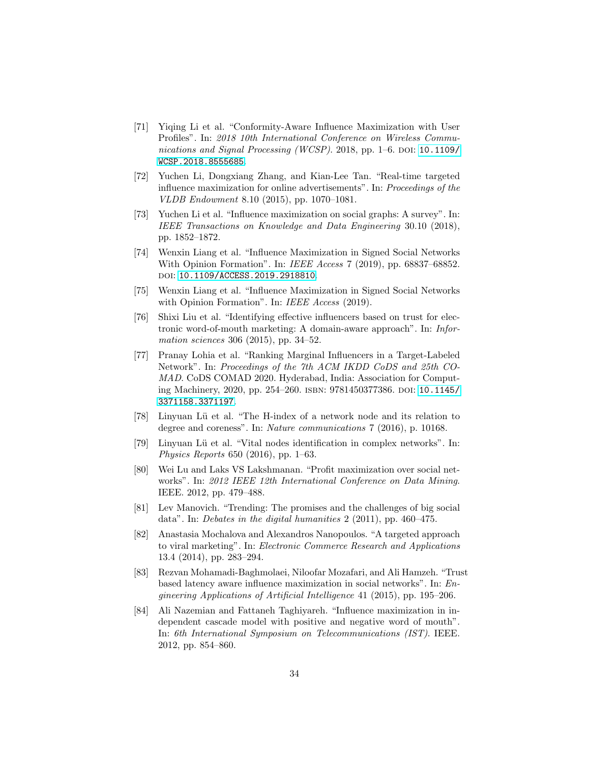- <span id="page-33-5"></span>[71] Yiqing Li et al. "Conformity-Aware Influence Maximization with User Profiles". In: 2018 10th International Conference on Wireless Commu-nications and Signal Processing (WCSP). 2018, pp. 1–6. DOI: [10.1109/](https://doi.org/10.1109/WCSP.2018.8555685) [WCSP.2018.8555685](https://doi.org/10.1109/WCSP.2018.8555685).
- <span id="page-33-7"></span>[72] Yuchen Li, Dongxiang Zhang, and Kian-Lee Tan. "Real-time targeted influence maximization for online advertisements". In: Proceedings of the VLDB Endowment 8.10 (2015), pp. 1070–1081.
- <span id="page-33-1"></span>[73] Yuchen Li et al. "Influence maximization on social graphs: A survey". In: IEEE Transactions on Knowledge and Data Engineering 30.10 (2018), pp. 1852–1872.
- <span id="page-33-11"></span>[74] Wenxin Liang et al. "Influence Maximization in Signed Social Networks With Opinion Formation". In: IEEE Access 7 (2019), pp. 68837–68852. doi: [10.1109/ACCESS.2019.2918810](https://doi.org/10.1109/ACCESS.2019.2918810).
- <span id="page-33-9"></span>[75] Wenxin Liang et al. "Influence Maximization in Signed Social Networks with Opinion Formation". In: IEEE Access (2019).
- <span id="page-33-6"></span>[76] Shixi Liu et al. "Identifying effective influencers based on trust for electronic word-of-mouth marketing: A domain-aware approach". In: Information sciences 306 (2015), pp. 34–52.
- <span id="page-33-4"></span>[77] Pranay Lohia et al. "Ranking Marginal Influencers in a Target-Labeled Network". In: Proceedings of the 7th ACM IKDD CoDS and 25th CO-MAD. CoDS COMAD 2020. Hyderabad, India: Association for Computing Machinery, 2020, pp. 254–260. isbn: 9781450377386. doi: [10.1145/](https://doi.org/10.1145/3371158.3371197) [3371158.3371197](https://doi.org/10.1145/3371158.3371197).
- <span id="page-33-2"></span>[78] Linyuan L¨u et al. "The H-index of a network node and its relation to degree and coreness". In: Nature communications 7 (2016), p. 10168.
- <span id="page-33-0"></span>[79] Linyuan Lü et al. "Vital nodes identification in complex networks". In: Physics Reports 650 (2016), pp. 1–63.
- <span id="page-33-12"></span>[80] Wei Lu and Laks VS Lakshmanan. "Profit maximization over social networks". In: 2012 IEEE 12th International Conference on Data Mining. IEEE. 2012, pp. 479–488.
- <span id="page-33-13"></span>[81] Lev Manovich. "Trending: The promises and the challenges of big social data". In: Debates in the digital humanities 2 (2011), pp. 460–475.
- <span id="page-33-3"></span>[82] Anastasia Mochalova and Alexandros Nanopoulos. "A targeted approach to viral marketing". In: Electronic Commerce Research and Applications 13.4 (2014), pp. 283–294.
- <span id="page-33-10"></span>[83] Rezvan Mohamadi-Baghmolaei, Niloofar Mozafari, and Ali Hamzeh. "Trust based latency aware influence maximization in social networks". In: Engineering Applications of Artificial Intelligence 41 (2015), pp. 195–206.
- <span id="page-33-8"></span>[84] Ali Nazemian and Fattaneh Taghiyareh. "Influence maximization in independent cascade model with positive and negative word of mouth". In: 6th International Symposium on Telecommunications (IST). IEEE. 2012, pp. 854–860.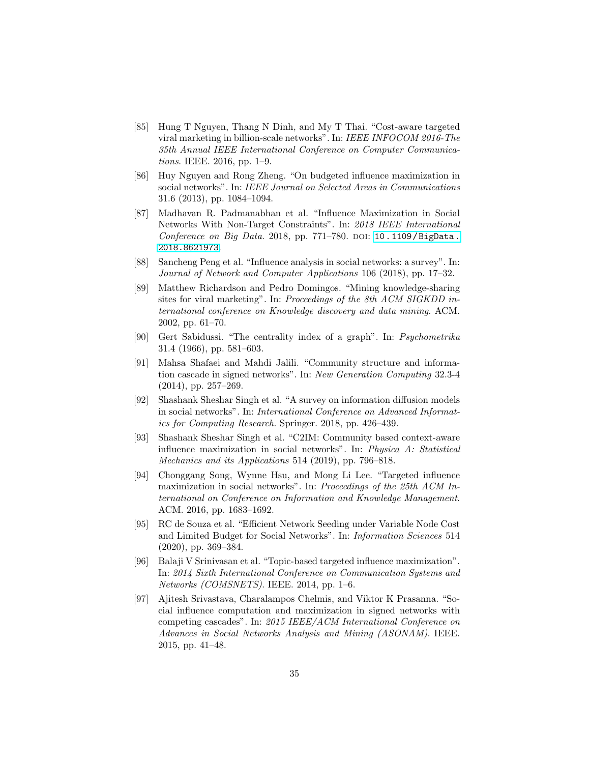- <span id="page-34-11"></span>[85] Hung T Nguyen, Thang N Dinh, and My T Thai. "Cost-aware targeted viral marketing in billion-scale networks". In: IEEE INFOCOM 2016-The 35th Annual IEEE International Conference on Computer Communications. IEEE. 2016, pp. 1–9.
- <span id="page-34-9"></span>[86] Huy Nguyen and Rong Zheng. "On budgeted influence maximization in social networks". In: IEEE Journal on Selected Areas in Communications 31.6 (2013), pp. 1084–1094.
- <span id="page-34-5"></span>[87] Madhavan R. Padmanabhan et al. "Influence Maximization in Social Networks With Non-Target Constraints". In: 2018 IEEE International Conference on Big Data. 2018, pp. 771–780. DOI: [10.1109/BigData.](https://doi.org/10.1109/BigData.2018.8621973) [2018.8621973](https://doi.org/10.1109/BigData.2018.8621973).
- <span id="page-34-2"></span>[88] Sancheng Peng et al. "Influence analysis in social networks: a survey". In: Journal of Network and Computer Applications 106 (2018), pp. 17–32.
- <span id="page-34-0"></span>[89] Matthew Richardson and Pedro Domingos. "Mining knowledge-sharing sites for viral marketing". In: Proceedings of the 8th ACM SIGKDD international conference on Knowledge discovery and data mining. ACM. 2002, pp. 61–70.
- <span id="page-34-3"></span>[90] Gert Sabidussi. "The centrality index of a graph". In: Psychometrika 31.4 (1966), pp. 581–603.
- <span id="page-34-8"></span>[91] Mahsa Shafaei and Mahdi Jalili. "Community structure and information cascade in signed networks". In: New Generation Computing 32.3-4 (2014), pp. 257–269.
- <span id="page-34-1"></span>[92] Shashank Sheshar Singh et al. "A survey on information diffusion models in social networks". In: International Conference on Advanced Informatics for Computing Research. Springer. 2018, pp. 426–439.
- <span id="page-34-6"></span>[93] Shashank Sheshar Singh et al. "C2IM: Community based context-aware influence maximization in social networks". In: Physica A: Statistical Mechanics and its Applications 514 (2019), pp. 796–818.
- <span id="page-34-12"></span>[94] Chonggang Song, Wynne Hsu, and Mong Li Lee. "Targeted influence maximization in social networks". In: Proceedings of the 25th ACM International on Conference on Information and Knowledge Management. ACM. 2016, pp. 1683–1692.
- <span id="page-34-10"></span>[95] RC de Souza et al. "Efficient Network Seeding under Variable Node Cost and Limited Budget for Social Networks". In: Information Sciences 514 (2020), pp. 369–384.
- <span id="page-34-4"></span>[96] Balaji V Srinivasan et al. "Topic-based targeted influence maximization". In: 2014 Sixth International Conference on Communication Systems and Networks (COMSNETS). IEEE. 2014, pp. 1–6.
- <span id="page-34-7"></span>[97] Ajitesh Srivastava, Charalampos Chelmis, and Viktor K Prasanna. "Social influence computation and maximization in signed networks with competing cascades". In: 2015 IEEE/ACM International Conference on Advances in Social Networks Analysis and Mining (ASONAM). IEEE. 2015, pp. 41–48.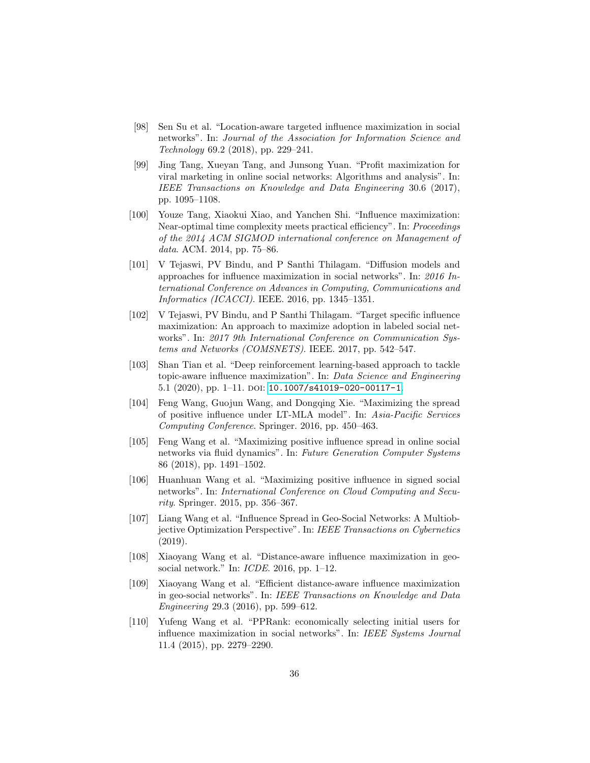- <span id="page-35-12"></span>[98] Sen Su et al. "Location-aware targeted influence maximization in social networks". In: Journal of the Association for Information Science and Technology 69.2 (2018), pp. 229–241.
- <span id="page-35-8"></span>[99] Jing Tang, Xueyan Tang, and Junsong Yuan. "Profit maximization for viral marketing in online social networks: Algorithms and analysis". In: IEEE Transactions on Knowledge and Data Engineering 30.6 (2017), pp. 1095–1108.
- <span id="page-35-1"></span>[100] Youze Tang, Xiaokui Xiao, and Yanchen Shi. "Influence maximization: Near-optimal time complexity meets practical efficiency". In: Proceedings of the 2014 ACM SIGMOD international conference on Management of data. ACM. 2014, pp. 75–86.
- <span id="page-35-0"></span>[101] V Tejaswi, PV Bindu, and P Santhi Thilagam. "Diffusion models and approaches for influence maximization in social networks". In: 2016 International Conference on Advances in Computing, Communications and Informatics (ICACCI). IEEE. 2016, pp. 1345–1351.
- <span id="page-35-2"></span>[102] V Tejaswi, PV Bindu, and P Santhi Thilagam. "Target specific influence maximization: An approach to maximize adoption in labeled social networks". In: 2017 9th International Conference on Communication Systems and Networks (COMSNETS). IEEE. 2017, pp. 542–547.
- <span id="page-35-3"></span>[103] Shan Tian et al. "Deep reinforcement learning-based approach to tackle topic-aware influence maximization". In: Data Science and Engineering 5.1 (2020), pp. 1–11. DOI: [10.1007/s41019-020-00117-1](https://doi.org/10.1007/s41019-020-00117-1).
- <span id="page-35-6"></span>[104] Feng Wang, Guojun Wang, and Dongqing Xie. "Maximizing the spread of positive influence under LT-MLA model". In: Asia-Pacific Services Computing Conference. Springer. 2016, pp. 450–463.
- <span id="page-35-4"></span>[105] Feng Wang et al. "Maximizing positive influence spread in online social networks via fluid dynamics". In: Future Generation Computer Systems 86 (2018), pp. 1491–1502.
- <span id="page-35-5"></span>[106] Huanhuan Wang et al. "Maximizing positive influence in signed social networks". In: International Conference on Cloud Computing and Security. Springer. 2015, pp. 356–367.
- <span id="page-35-11"></span>[107] Liang Wang et al. "Influence Spread in Geo-Social Networks: A Multiobjective Optimization Perspective". In: IEEE Transactions on Cybernetics (2019).
- <span id="page-35-10"></span>[108] Xiaoyang Wang et al. "Distance-aware influence maximization in geosocial network." In: *ICDE*. 2016, pp. 1–12.
- <span id="page-35-9"></span>[109] Xiaoyang Wang et al. "Efficient distance-aware influence maximization in geo-social networks". In: IEEE Transactions on Knowledge and Data Engineering 29.3 (2016), pp. 599–612.
- <span id="page-35-7"></span>[110] Yufeng Wang et al. "PPRank: economically selecting initial users for influence maximization in social networks". In: IEEE Systems Journal 11.4 (2015), pp. 2279–2290.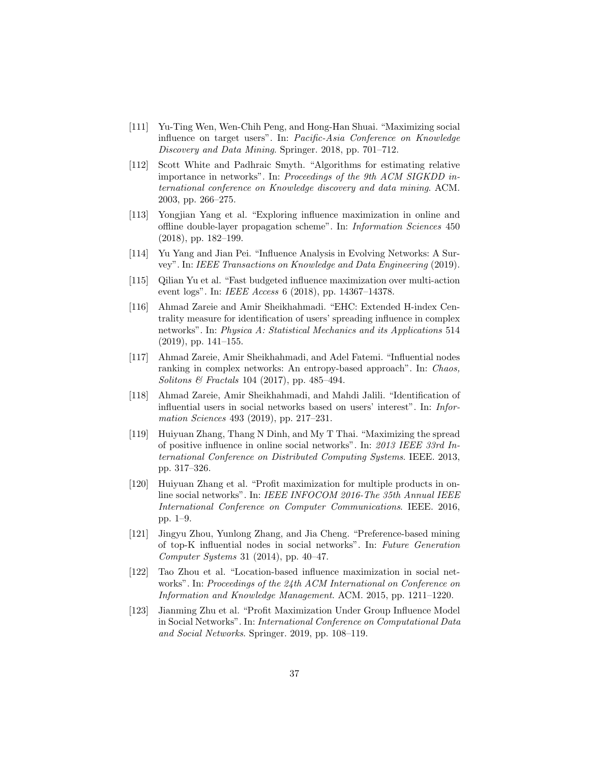- <span id="page-36-4"></span>[111] Yu-Ting Wen, Wen-Chih Peng, and Hong-Han Shuai. "Maximizing social influence on target users". In: Pacific-Asia Conference on Knowledge Discovery and Data Mining. Springer. 2018, pp. 701–712.
- <span id="page-36-3"></span>[112] Scott White and Padhraic Smyth. "Algorithms for estimating relative importance in networks". In: Proceedings of the 9th ACM SIGKDD international conference on Knowledge discovery and data mining. ACM. 2003, pp. 266–275.
- <span id="page-36-11"></span>[113] Yongjian Yang et al. "Exploring influence maximization in online and offline double-layer propagation scheme". In: Information Sciences 450 (2018), pp. 182–199.
- <span id="page-36-0"></span>[114] Yu Yang and Jian Pei. "Influence Analysis in Evolving Networks: A Survey". In: IEEE Transactions on Knowledge and Data Engineering (2019).
- <span id="page-36-8"></span>[115] Qilian Yu et al. "Fast budgeted influence maximization over multi-action event logs". In: IEEE Access 6 (2018), pp. 14367–14378.
- <span id="page-36-2"></span>[116] Ahmad Zareie and Amir Sheikhahmadi. "EHC: Extended H-index Centrality measure for identification of users' spreading influence in complex networks". In: Physica A: Statistical Mechanics and its Applications 514 (2019), pp. 141–155.
- <span id="page-36-1"></span>[117] Ahmad Zareie, Amir Sheikhahmadi, and Adel Fatemi. "Influential nodes ranking in complex networks: An entropy-based approach". In: Chaos, Solitons & Fractals 104 (2017), pp. 485–494.
- <span id="page-36-6"></span>[118] Ahmad Zareie, Amir Sheikhahmadi, and Mahdi Jalili. "Identification of influential users in social networks based on users' interest". In: Information Sciences 493 (2019), pp. 217–231.
- <span id="page-36-7"></span>[119] Huiyuan Zhang, Thang N Dinh, and My T Thai. "Maximizing the spread of positive influence in online social networks". In: 2013 IEEE 33rd International Conference on Distributed Computing Systems. IEEE. 2013, pp. 317–326.
- <span id="page-36-10"></span>[120] Huiyuan Zhang et al. "Profit maximization for multiple products in online social networks". In: IEEE INFOCOM 2016-The 35th Annual IEEE International Conference on Computer Communications. IEEE. 2016, pp. 1–9.
- <span id="page-36-5"></span>[121] Jingyu Zhou, Yunlong Zhang, and Jia Cheng. "Preference-based mining of top-K influential nodes in social networks". In: Future Generation Computer Systems 31 (2014), pp. 40–47.
- <span id="page-36-12"></span>[122] Tao Zhou et al. "Location-based influence maximization in social networks". In: Proceedings of the 24th ACM International on Conference on Information and Knowledge Management. ACM. 2015, pp. 1211–1220.
- <span id="page-36-9"></span>[123] Jianming Zhu et al. "Profit Maximization Under Group Influence Model in Social Networks". In: International Conference on Computational Data and Social Networks. Springer. 2019, pp. 108–119.